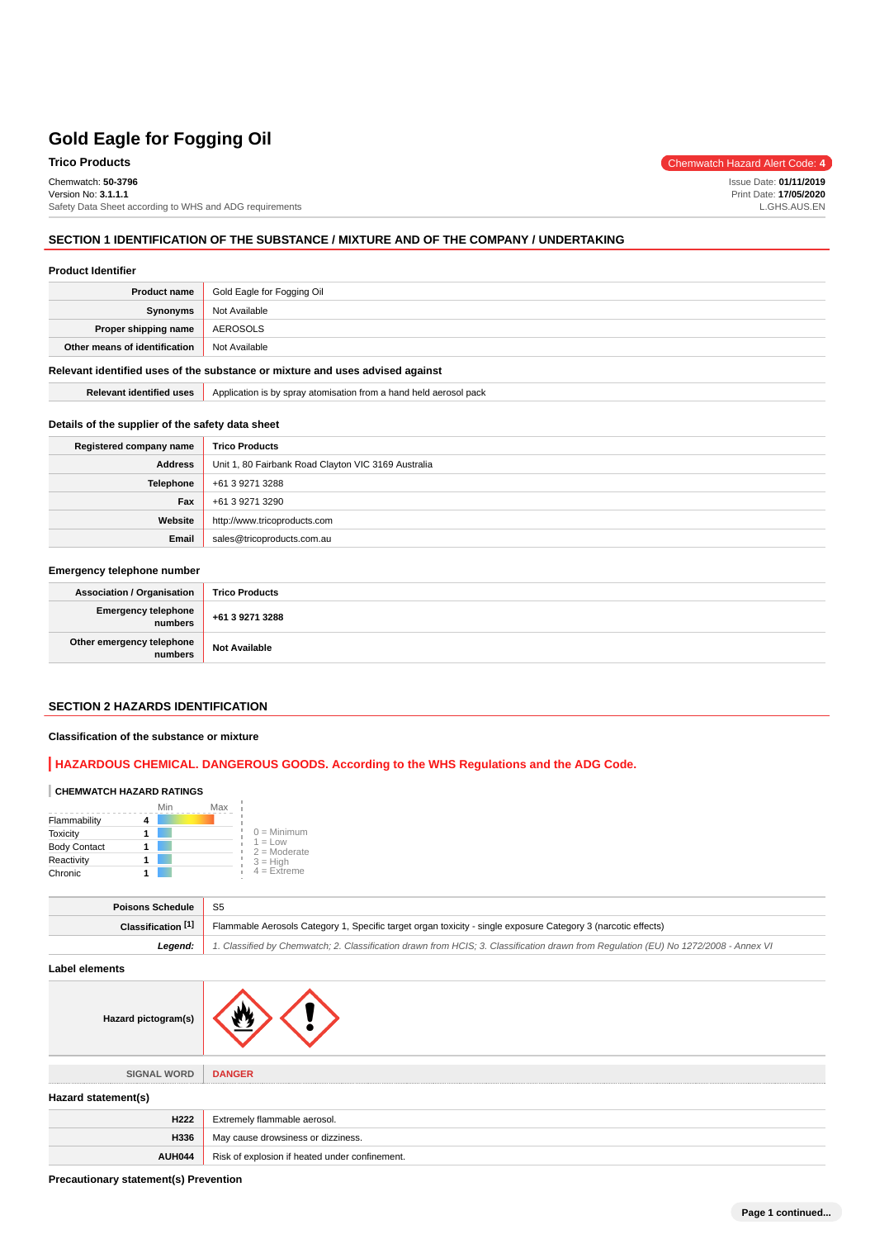# Chemwatch: **50-3796**

Version No: **3.1.1.1**

**Trico Products** Chemwatch Hazard Alert Code: 4

Issue Date: **01/11/2019** Print Date: **17/05/2020** L.GHS.AUS.EN

Safety Data Sheet according to WHS and ADG requirements

**SECTION 1 IDENTIFICATION OF THE SUBSTANCE / MIXTURE AND OF THE COMPANY / UNDERTAKING**

#### **Product Identifier**

| Product name                  | Gold Eagle for Fogging Oil |
|-------------------------------|----------------------------|
| Synonyms                      | Not Available              |
| Proper shipping name          | AEROSOLS                   |
| Other means of identification | Not Available              |

#### **Relevant identified uses of the substance or mixture and uses advised against**

**Relevant identified uses** Application is by spray atomisation from a hand held aerosol pack

#### **Details of the supplier of the safety data sheet**

| Registered company name | <b>Trico Products</b>                               |
|-------------------------|-----------------------------------------------------|
| Address                 | Unit 1, 80 Fairbank Road Clayton VIC 3169 Australia |
| <b>Telephone</b>        | +61 3 9271 3288                                     |
| Fax                     | +61 3 9271 3290                                     |
| Website                 | http://www.tricoproducts.com                        |
| Email                   | sales@tricoproducts.com.au                          |

### **Emergency telephone number**

| <b>Association / Organisation</b>              | <b>Trico Products</b> |
|------------------------------------------------|-----------------------|
| Emergency telephone<br>numbers +61 3 9271 3288 |                       |
| Other emergency telephone<br>  numbers         | <b>Not Available</b>  |

#### **SECTION 2 HAZARDS IDENTIFICATION**

#### **Classification of the substance or mixture**

### **HAZARDOUS CHEMICAL. DANGEROUS GOODS. According to the WHS Regulations and the ADG Code.**

### **CHEMWATCH HAZARD RATINGS**

|                     | Min | Max |                                    |
|---------------------|-----|-----|------------------------------------|
| Flammability        |     |     |                                    |
| <b>Toxicity</b>     |     |     | $0 =$ Minimum                      |
| <b>Body Contact</b> |     |     | $1 = 1$ $\Omega$<br>$2 =$ Moderate |
| Reactivity          |     |     | $3 = High$                         |
| Chronic             |     |     | $4 =$ Extreme                      |

| <b>Poisons Schedule</b> S5 |                                                                                                                                     |
|----------------------------|-------------------------------------------------------------------------------------------------------------------------------------|
| Classification [1]         | Flammable Aerosols Category 1, Specific target organ toxicity - single exposure Category 3 (narcotic effects)                       |
| Leaend:                    | 1. Classified by Chemwatch; 2. Classification drawn from HCIS; 3. Classification drawn from Requlation (EU) No 1272/2008 - Annex VI |

**Label elements**

| Hazard pictogram(s) |                                                |
|---------------------|------------------------------------------------|
| <b>SIGNAL WORD</b>  | <b>DANGER</b>                                  |
| Hazard statement(s) |                                                |
| H222                | Extremely flammable aerosol.                   |
| H336                | May cause drowsiness or dizziness.             |
| AUH044              | Risk of explosion if heated under confinement. |

**Precautionary statement(s) Prevention**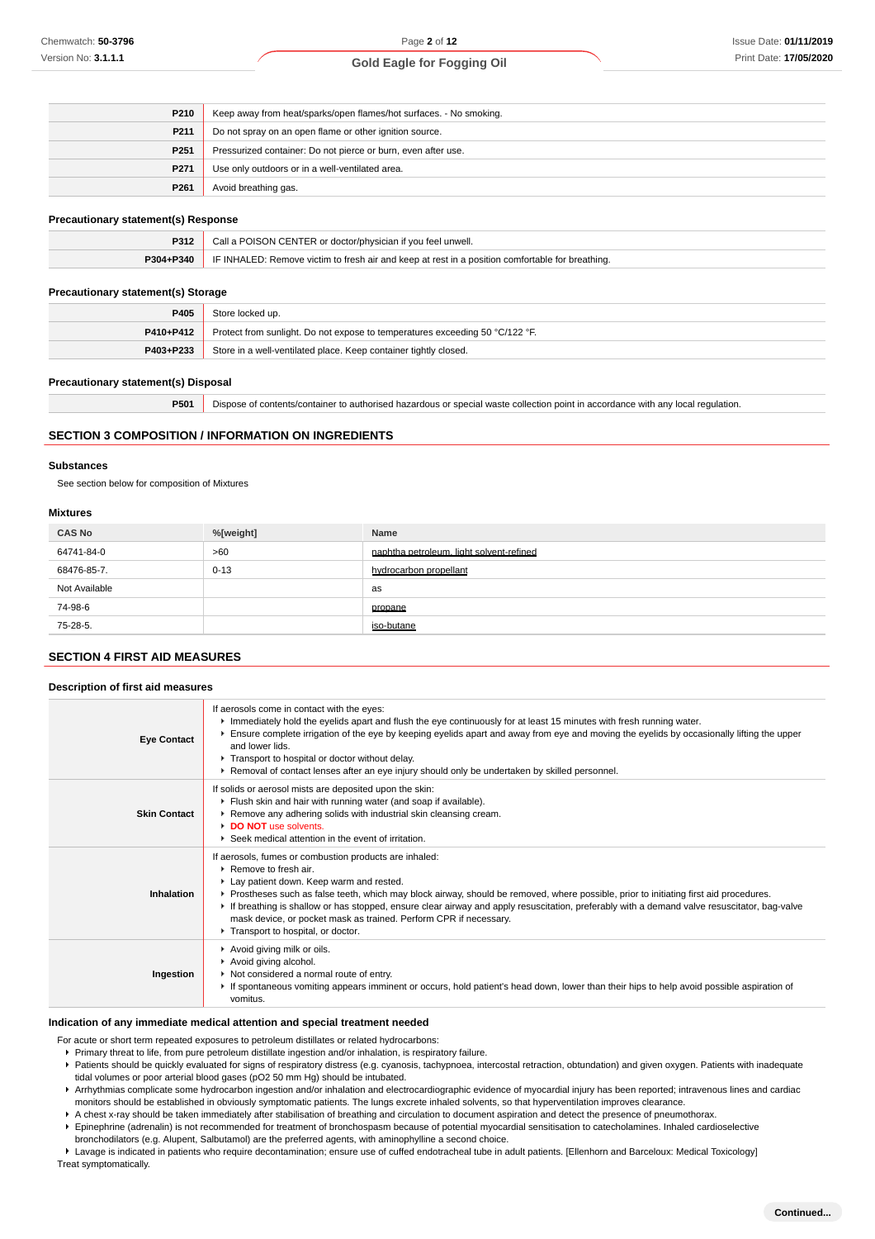| P210             | Keep away from heat/sparks/open flames/hot surfaces. - No smoking. |
|------------------|--------------------------------------------------------------------|
| P211             | Do not spray on an open flame or other ignition source.            |
| P <sub>251</sub> | Pressurized container: Do not pierce or burn, even after use.      |
| P271             | Use only outdoors or in a well-ventilated area.                    |
| P <sub>261</sub> | Avoid breathing gas.                                               |
|                  |                                                                    |

### **Precautionary statement(s) Response**

| P312      | Call a POISON CENTER or doctor/physician if you feel unwell.                                     |
|-----------|--------------------------------------------------------------------------------------------------|
| P304+P340 | IF INHALED: Remove victim to fresh air and keep at rest in a position comfortable for breathing. |
|           |                                                                                                  |

#### **Precautionary statement(s) Storage**

| P405      | Store locked up.                                                             |
|-----------|------------------------------------------------------------------------------|
| P410+P412 | Protect from sunlight. Do not expose to temperatures exceeding 50 °C/122 °F. |
| P403+P233 | Store in a well-ventilated place. Keep container tightly closed.             |

#### **Precautionary statement(s) Disposal**

**P501** Dispose of contents/container to authorised hazardous or special waste collection point in accordance with any local regulation.

#### **SECTION 3 COMPOSITION / INFORMATION ON INGREDIENTS**

#### **Substances**

See section below for composition of Mixtures

#### **Mixtures**

| <b>CAS No</b> | %[weight] | Name                                     |
|---------------|-----------|------------------------------------------|
| 64741-84-0    | >60       | naphtha petroleum, light solvent-refined |
| 68476-85-7.   | $0 - 13$  | hydrocarbon propellant                   |
| Not Available |           | as                                       |
| 74-98-6       |           | propane                                  |
| 75-28-5.      |           | iso-butane                               |

#### **SECTION 4 FIRST AID MEASURES**

#### **Description of first aid measures**

| <b>Eye Contact</b>  | If aerosols come in contact with the eyes:<br>Immediately hold the eyelids apart and flush the eye continuously for at least 15 minutes with fresh running water.<br>Ensure complete irrigation of the eye by keeping eyelids apart and away from eye and moving the eyelids by occasionally lifting the upper<br>and lower lids.<br>Transport to hospital or doctor without delay.<br>▶ Removal of contact lenses after an eye injury should only be undertaken by skilled personnel.                                                             |
|---------------------|----------------------------------------------------------------------------------------------------------------------------------------------------------------------------------------------------------------------------------------------------------------------------------------------------------------------------------------------------------------------------------------------------------------------------------------------------------------------------------------------------------------------------------------------------|
| <b>Skin Contact</b> | If solids or aerosol mists are deposited upon the skin:<br>Flush skin and hair with running water (and soap if available).<br>Remove any adhering solids with industrial skin cleansing cream.<br>DO NOT use solvents.<br>▶ Seek medical attention in the event of irritation.                                                                                                                                                                                                                                                                     |
| Inhalation          | If aerosols, fumes or combustion products are inhaled:<br>$\blacktriangleright$ Remove to fresh air.<br>Lay patient down. Keep warm and rested.<br>▶ Prostheses such as false teeth, which may block airway, should be removed, where possible, prior to initiating first aid procedures.<br>If breathing is shallow or has stopped, ensure clear airway and apply resuscitation, preferably with a demand valve resuscitator, bag-valve<br>mask device, or pocket mask as trained. Perform CPR if necessary.<br>Transport to hospital, or doctor. |
| Ingestion           | Avoid giving milk or oils.<br>Avoid giving alcohol.<br>Not considered a normal route of entry.<br>If spontaneous vomiting appears imminent or occurs, hold patient's head down, lower than their hips to help avoid possible aspiration of<br>vomitus.                                                                                                                                                                                                                                                                                             |

#### **Indication of any immediate medical attention and special treatment needed**

For acute or short term repeated exposures to petroleum distillates or related hydrocarbons:

- Primary threat to life, from pure petroleum distillate ingestion and/or inhalation, is respiratory failure.
- Patients should be quickly evaluated for signs of respiratory distress (e.g. cyanosis, tachypnoea, intercostal retraction, obtundation) and given oxygen. Patients with inadequate tidal volumes or poor arterial blood gases (pO2 50 mm Hg) should be intubated.
- ▶ Arrhythmias complicate some hydrocarbon ingestion and/or inhalation and electrocardiographic evidence of myocardial injury has been reported; intravenous lines and cardiac monitors should be established in obviously symptomatic patients. The lungs excrete inhaled solvents, so that hyperventilation improves clearance.
- A chest x-ray should be taken immediately after stabilisation of breathing and circulation to document aspiration and detect the presence of pneumothorax.
- Epinephrine (adrenalin) is not recommended for treatment of bronchospasm because of potential myocardial sensitisation to catecholamines. Inhaled cardioselective bronchodilators (e.g. Alupent, Salbutamol) are the preferred agents, with aminophylline a second choice.

Lavage is indicated in patients who require decontamination; ensure use of cuffed endotracheal tube in adult patients. [Ellenhorn and Barceloux: Medical Toxicology] Treat symptomatically.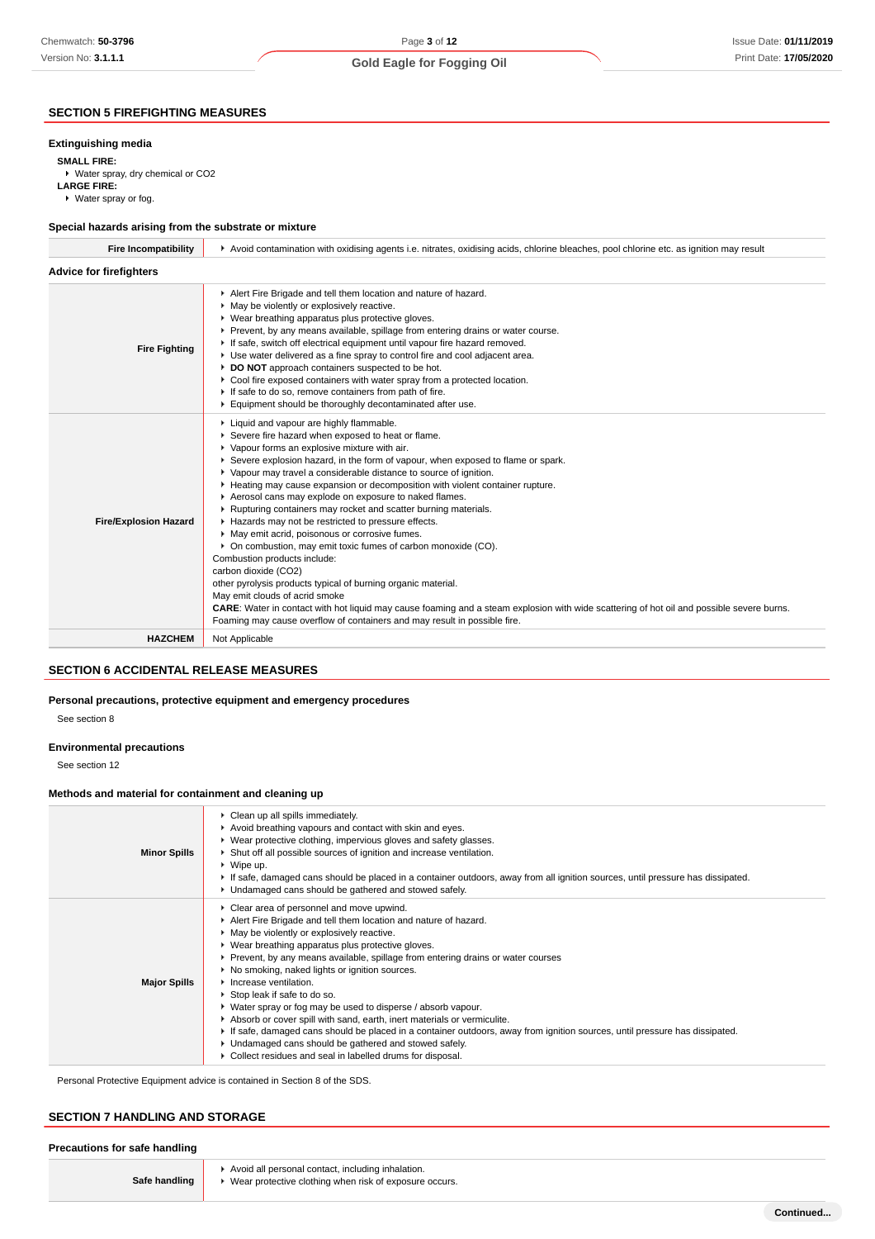### Page **3** of **12 Gold Eagle for Fogging Oil**

### **SECTION 5 FIREFIGHTING MEASURES**

#### **Extinguishing media**

**SMALL FIRE:**

▶ Water spray, dry chemical or CO2 **LARGE FIRE:** Water spray or fog.

#### **Special hazards arising from the substrate or mixture**

| Alert Fire Brigade and tell them location and nature of hazard.<br>• May be violently or explosively reactive.<br>• Wear breathing apparatus plus protective gloves.<br>Prevent, by any means available, spillage from entering drains or water course.<br>If safe, switch off electrical equipment until vapour fire hazard removed.<br><b>Fire Fighting</b><br>▶ Use water delivered as a fine spray to control fire and cool adjacent area.<br>DO NOT approach containers suspected to be hot.<br>• Cool fire exposed containers with water spray from a protected location.<br>If safe to do so, remove containers from path of fire.<br>Equipment should be thoroughly decontaminated after use.<br>Liquid and vapour are highly flammable.<br>Severe fire hazard when exposed to heat or flame.<br>• Vapour forms an explosive mixture with air.<br>Severe explosion hazard, in the form of vapour, when exposed to flame or spark.<br>▶ Vapour may travel a considerable distance to source of ignition.<br>► Heating may cause expansion or decomposition with violent container rupture.<br>Aerosol cans may explode on exposure to naked flames.<br>▶ Rupturing containers may rocket and scatter burning materials.<br>Hazards may not be restricted to pressure effects.<br><b>Fire/Explosion Hazard</b><br>• May emit acrid, poisonous or corrosive fumes.<br>• On combustion, may emit toxic fumes of carbon monoxide (CO).<br>Combustion products include:<br>carbon dioxide (CO2)<br>other pyrolysis products typical of burning organic material.<br>May emit clouds of acrid smoke<br>CARE: Water in contact with hot liquid may cause foaming and a steam explosion with wide scattering of hot oil and possible severe burns.<br>Foaming may cause overflow of containers and may result in possible fire.<br><b>HAZCHEM</b><br>Not Applicable | <b>Fire Incompatibility</b>    | ► Avoid contamination with oxidising agents i.e. nitrates, oxidising acids, chlorine bleaches, pool chlorine etc. as ignition may result |  |  |
|--------------------------------------------------------------------------------------------------------------------------------------------------------------------------------------------------------------------------------------------------------------------------------------------------------------------------------------------------------------------------------------------------------------------------------------------------------------------------------------------------------------------------------------------------------------------------------------------------------------------------------------------------------------------------------------------------------------------------------------------------------------------------------------------------------------------------------------------------------------------------------------------------------------------------------------------------------------------------------------------------------------------------------------------------------------------------------------------------------------------------------------------------------------------------------------------------------------------------------------------------------------------------------------------------------------------------------------------------------------------------------------------------------------------------------------------------------------------------------------------------------------------------------------------------------------------------------------------------------------------------------------------------------------------------------------------------------------------------------------------------------------------------------------------------------------------------------------------------------------------|--------------------------------|------------------------------------------------------------------------------------------------------------------------------------------|--|--|
|                                                                                                                                                                                                                                                                                                                                                                                                                                                                                                                                                                                                                                                                                                                                                                                                                                                                                                                                                                                                                                                                                                                                                                                                                                                                                                                                                                                                                                                                                                                                                                                                                                                                                                                                                                                                                                                                    | <b>Advice for firefighters</b> |                                                                                                                                          |  |  |
|                                                                                                                                                                                                                                                                                                                                                                                                                                                                                                                                                                                                                                                                                                                                                                                                                                                                                                                                                                                                                                                                                                                                                                                                                                                                                                                                                                                                                                                                                                                                                                                                                                                                                                                                                                                                                                                                    |                                |                                                                                                                                          |  |  |
|                                                                                                                                                                                                                                                                                                                                                                                                                                                                                                                                                                                                                                                                                                                                                                                                                                                                                                                                                                                                                                                                                                                                                                                                                                                                                                                                                                                                                                                                                                                                                                                                                                                                                                                                                                                                                                                                    |                                |                                                                                                                                          |  |  |
|                                                                                                                                                                                                                                                                                                                                                                                                                                                                                                                                                                                                                                                                                                                                                                                                                                                                                                                                                                                                                                                                                                                                                                                                                                                                                                                                                                                                                                                                                                                                                                                                                                                                                                                                                                                                                                                                    |                                |                                                                                                                                          |  |  |

### **SECTION 6 ACCIDENTAL RELEASE MEASURES**

#### **Personal precautions, protective equipment and emergency procedures**

See section 8

#### **Environmental precautions**

See section 12

#### **Methods and material for containment and cleaning up**

| <b>Minor Spills</b> | Clean up all spills immediately.<br>Avoid breathing vapours and contact with skin and eyes.<br>▶ Wear protective clothing, impervious gloves and safety glasses.<br>▶ Shut off all possible sources of ignition and increase ventilation.<br>$\triangleright$ Wipe up.<br>If safe, damaged cans should be placed in a container outdoors, away from all ignition sources, until pressure has dissipated.<br>• Undamaged cans should be gathered and stowed safely.                                                                                                                                                                                                                                                                                                                                                |
|---------------------|-------------------------------------------------------------------------------------------------------------------------------------------------------------------------------------------------------------------------------------------------------------------------------------------------------------------------------------------------------------------------------------------------------------------------------------------------------------------------------------------------------------------------------------------------------------------------------------------------------------------------------------------------------------------------------------------------------------------------------------------------------------------------------------------------------------------|
| <b>Major Spills</b> | Clear area of personnel and move upwind.<br>Alert Fire Brigade and tell them location and nature of hazard.<br>• May be violently or explosively reactive.<br>▶ Wear breathing apparatus plus protective gloves.<br>▶ Prevent, by any means available, spillage from entering drains or water courses<br>▶ No smoking, naked lights or ignition sources.<br>Increase ventilation.<br>Stop leak if safe to do so.<br>• Water spray or fog may be used to disperse / absorb vapour.<br>Absorb or cover spill with sand, earth, inert materials or vermiculite.<br>If safe, damaged cans should be placed in a container outdoors, away from ignition sources, until pressure has dissipated.<br>• Undamaged cans should be gathered and stowed safely.<br>Collect residues and seal in labelled drums for disposal. |

Personal Protective Equipment advice is contained in Section 8 of the SDS.

### **SECTION 7 HANDLING AND STORAGE**

| Safe handling | Avoid all personal contact, including inhalation.<br>• Wear protective clothing when risk of exposure occurs. |
|---------------|---------------------------------------------------------------------------------------------------------------|
|---------------|---------------------------------------------------------------------------------------------------------------|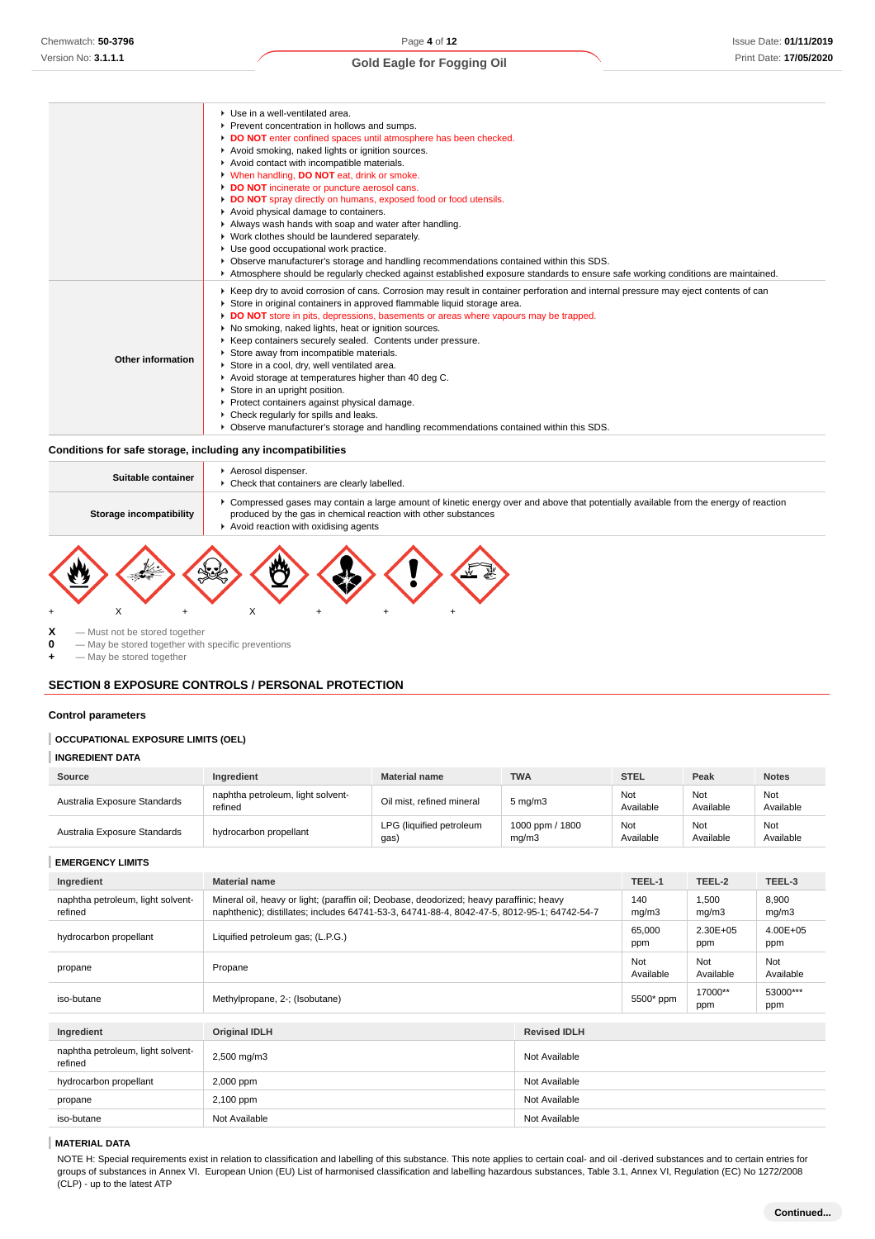|                   | ▶ Use in a well-ventilated area.<br>Prevent concentration in hollows and sumps.<br>DO NOT enter confined spaces until atmosphere has been checked.<br>Avoid smoking, naked lights or ignition sources.<br>Avoid contact with incompatible materials.<br>V When handling, DO NOT eat, drink or smoke.<br>DO NOT incinerate or puncture aerosol cans.<br>DO NOT spray directly on humans, exposed food or food utensils.<br>Avoid physical damage to containers.<br>Always wash hands with soap and water after handling.<br>▶ Work clothes should be laundered separately.<br>Use good occupational work practice.<br>▶ Observe manufacturer's storage and handling recommendations contained within this SDS.<br>Atmosphere should be regularly checked against established exposure standards to ensure safe working conditions are maintained. |
|-------------------|--------------------------------------------------------------------------------------------------------------------------------------------------------------------------------------------------------------------------------------------------------------------------------------------------------------------------------------------------------------------------------------------------------------------------------------------------------------------------------------------------------------------------------------------------------------------------------------------------------------------------------------------------------------------------------------------------------------------------------------------------------------------------------------------------------------------------------------------------|
| Other information | ▶ Keep dry to avoid corrosion of cans. Corrosion may result in container perforation and internal pressure may eject contents of can<br>Store in original containers in approved flammable liquid storage area.<br>DO NOT store in pits, depressions, basements or areas where vapours may be trapped.<br>No smoking, naked lights, heat or ignition sources.<br>▶ Keep containers securely sealed. Contents under pressure.<br>Store away from incompatible materials.<br>Store in a cool, dry, well ventilated area.<br>Avoid storage at temperatures higher than 40 deg C.<br>Store in an upright position.<br>Protect containers against physical damage.<br>• Check regularly for spills and leaks.<br>• Observe manufacturer's storage and handling recommendations contained within this SDS.                                             |

#### **Conditions for safe storage, including any incompatibilities**

| Suitable container      | Aerosol dispenser.<br>• Check that containers are clearly labelled.                                                                                                                                                                             |
|-------------------------|-------------------------------------------------------------------------------------------------------------------------------------------------------------------------------------------------------------------------------------------------|
| Storage incompatibility | ▶ Compressed gases may contain a large amount of kinetic energy over and above that potentially available from the energy of reaction<br>produced by the gas in chemical reaction with other substances<br>Avoid reaction with oxidising agents |
|                         |                                                                                                                                                                                                                                                 |

**X** — Must not be stored together<br>**0** — May be stored together with

**0** — May be stored together with specific preventions

**+** — May be stored together

### **SECTION 8 EXPOSURE CONTROLS / PERSONAL PROTECTION**

+ X + X + + +

#### **Control parameters**

#### **OCCUPATIONAL EXPOSURE LIMITS (OEL)**

#### **INGREDIENT DATA**

| Source                       | Ingredient                                   | <b>Material name</b>            | <b>TWA</b>               | <b>STEL</b>      | Peak             | <b>Notes</b>     |
|------------------------------|----------------------------------------------|---------------------------------|--------------------------|------------------|------------------|------------------|
| Australia Exposure Standards | naphtha petroleum, light solvent-<br>refined | Oil mist, refined mineral       | $5 \text{ mg/m}$ 3       | Not<br>Available | Not<br>Available | Not<br>Available |
| Australia Exposure Standards | hydrocarbon propellant                       | LPG (liquified petroleum<br>gas | 1000 ppm / 1800<br>mq/m3 | Not<br>Available | Not<br>Available | Not<br>Available |

#### **EMERGENCY LIMITS**

| Ingredient                                   | <b>Material name</b>                                                                                                                                                                    |                     | TEEL-1           | TEEL-2              | TEEL-3              |
|----------------------------------------------|-----------------------------------------------------------------------------------------------------------------------------------------------------------------------------------------|---------------------|------------------|---------------------|---------------------|
| naphtha petroleum, light solvent-<br>refined | Mineral oil, heavy or light; (paraffin oil; Deobase, deodorized; heavy paraffinic; heavy<br>naphthenic); distillates; includes 64741-53-3, 64741-88-4, 8042-47-5, 8012-95-1; 64742-54-7 |                     | 140<br>mg/m3     | 1,500<br>mq/m3      | 8,900<br>mg/m3      |
| hydrocarbon propellant                       | Liquified petroleum gas; (L.P.G.)                                                                                                                                                       |                     | 65,000<br>ppm    | $2.30E + 05$<br>ppm | $4.00E + 05$<br>ppm |
| propane                                      | Propane                                                                                                                                                                                 |                     | Not<br>Available | Not<br>Available    | Not<br>Available    |
| iso-butane                                   | Methylpropane, 2-; (Isobutane)                                                                                                                                                          |                     | 5500* ppm        | 17000**<br>ppm      | 53000***<br>ppm     |
|                                              |                                                                                                                                                                                         |                     |                  |                     |                     |
| Ingredient                                   | <b>Original IDLH</b>                                                                                                                                                                    | <b>Revised IDLH</b> |                  |                     |                     |
| naphtha petroleum, light solvent-<br>refined | 2,500 mg/m3                                                                                                                                                                             | Not Available       |                  |                     |                     |
| hydrocarbon propellant                       | 2,000 ppm                                                                                                                                                                               | Not Available       |                  |                     |                     |
| propane                                      | 2,100 ppm                                                                                                                                                                               | Not Available       |                  |                     |                     |
| iso-butane                                   | Not Available                                                                                                                                                                           | Not Available       |                  |                     |                     |

#### **MATERIAL DATA**

NOTE H: Special requirements exist in relation to classification and labelling of this substance. This note applies to certain coal- and oil -derived substances and to certain entries for groups of substances in Annex VI. European Union (EU) List of harmonised classification and labelling hazardous substances, Table 3.1, Annex VI, Regulation (EC) No 1272/2008 (CLP) - up to the latest ATP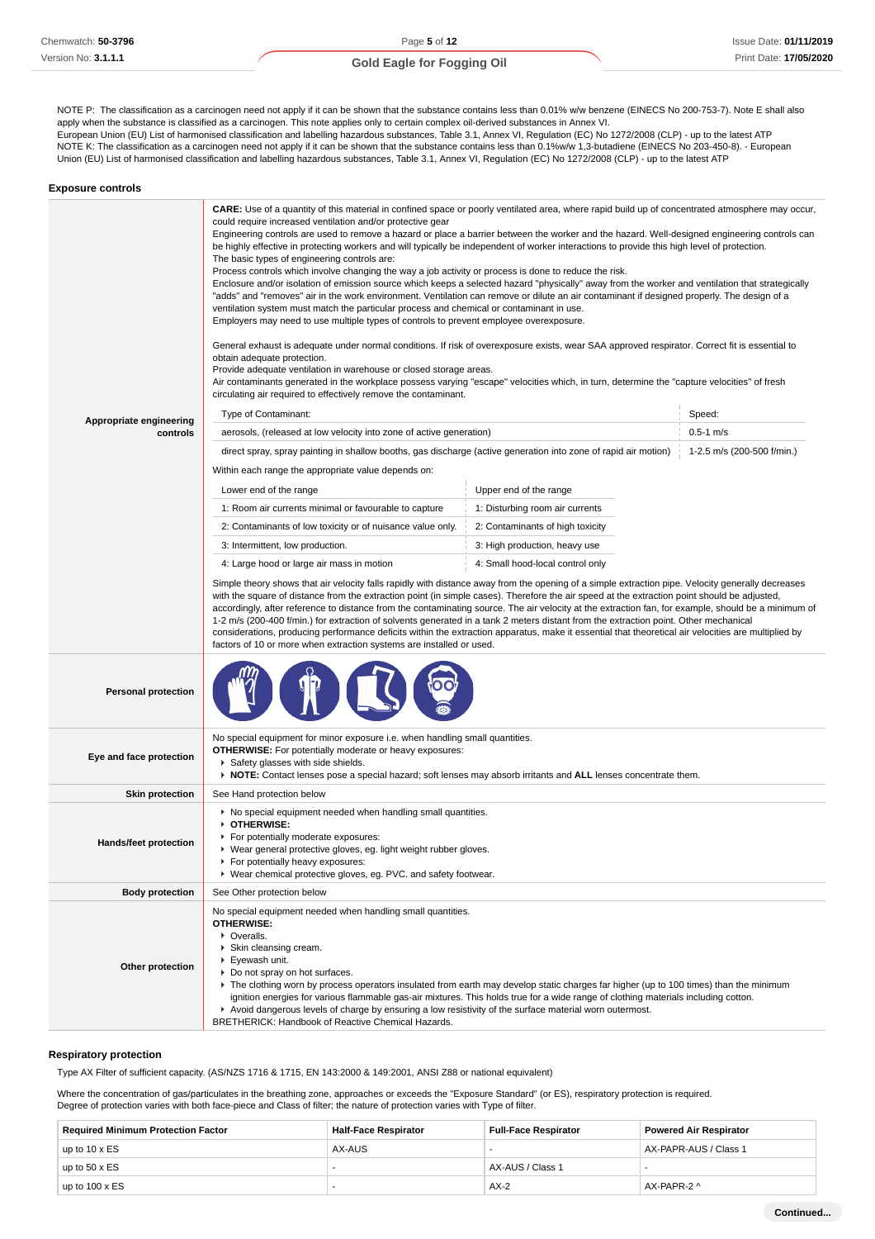NOTE P: The classification as a carcinogen need not apply if it can be shown that the substance contains less than 0.01% w/w benzene (EINECS No 200-753-7). Note E shall also apply when the substance is classified as a carcinogen. This note applies only to certain complex oil-derived substances in Annex VI. European Union (EU) List of harmonised classification and labelling hazardous substances, Table 3.1, Annex VI, Regulation (EC) No 1272/2008 (CLP) - up to the latest ATP

NOTE K: The classification as a carcinogen need not apply if it can be shown that the substance contains less than 0.1%w/w 1,3-butadiene (EINECS No 203-450-8). - European Union (EU) List of harmonised classification and labelling hazardous substances, Table 3.1, Annex VI, Regulation (EC) No 1272/2008 (CLP) - up to the latest ATP

| <b>Exposure controls</b>            |                                                                                                                                                                                                                                                                                                                                                                                                                                                                                                                                                                                                                                                                                                                                                                                                                                                                                                                                                                                                                                                                                                                                                                                                                                                                                                                                                                                                                                                                                                                                                                                                                                                                                     |                                  |                            |
|-------------------------------------|-------------------------------------------------------------------------------------------------------------------------------------------------------------------------------------------------------------------------------------------------------------------------------------------------------------------------------------------------------------------------------------------------------------------------------------------------------------------------------------------------------------------------------------------------------------------------------------------------------------------------------------------------------------------------------------------------------------------------------------------------------------------------------------------------------------------------------------------------------------------------------------------------------------------------------------------------------------------------------------------------------------------------------------------------------------------------------------------------------------------------------------------------------------------------------------------------------------------------------------------------------------------------------------------------------------------------------------------------------------------------------------------------------------------------------------------------------------------------------------------------------------------------------------------------------------------------------------------------------------------------------------------------------------------------------------|----------------------------------|----------------------------|
|                                     | <b>CARE:</b> Use of a quantity of this material in confined space or poorly ventilated area, where rapid build up of concentrated atmosphere may occur,<br>could require increased ventilation and/or protective gear<br>Engineering controls are used to remove a hazard or place a barrier between the worker and the hazard. Well-designed engineering controls can<br>be highly effective in protecting workers and will typically be independent of worker interactions to provide this high level of protection.<br>The basic types of engineering controls are:<br>Process controls which involve changing the way a job activity or process is done to reduce the risk.<br>Enclosure and/or isolation of emission source which keeps a selected hazard "physically" away from the worker and ventilation that strategically<br>"adds" and "removes" air in the work environment. Ventilation can remove or dilute an air contaminant if designed properly. The design of a<br>ventilation system must match the particular process and chemical or contaminant in use.<br>Employers may need to use multiple types of controls to prevent employee overexposure.<br>General exhaust is adequate under normal conditions. If risk of overexposure exists, wear SAA approved respirator. Correct fit is essential to<br>obtain adequate protection.<br>Provide adequate ventilation in warehouse or closed storage areas.<br>Air contaminants generated in the workplace possess varying "escape" velocities which, in turn, determine the "capture velocities" of fresh<br>circulating air required to effectively remove the contaminant.<br>Type of Contaminant:<br>Speed: |                                  |                            |
| Appropriate engineering<br>controls | aerosols, (released at low velocity into zone of active generation)                                                                                                                                                                                                                                                                                                                                                                                                                                                                                                                                                                                                                                                                                                                                                                                                                                                                                                                                                                                                                                                                                                                                                                                                                                                                                                                                                                                                                                                                                                                                                                                                                 |                                  | $0.5 - 1$ m/s              |
|                                     | direct spray, spray painting in shallow booths, gas discharge (active generation into zone of rapid air motion)<br>Within each range the appropriate value depends on:<br>Lower end of the range                                                                                                                                                                                                                                                                                                                                                                                                                                                                                                                                                                                                                                                                                                                                                                                                                                                                                                                                                                                                                                                                                                                                                                                                                                                                                                                                                                                                                                                                                    |                                  | 1-2.5 m/s (200-500 f/min.) |
|                                     |                                                                                                                                                                                                                                                                                                                                                                                                                                                                                                                                                                                                                                                                                                                                                                                                                                                                                                                                                                                                                                                                                                                                                                                                                                                                                                                                                                                                                                                                                                                                                                                                                                                                                     | Upper end of the range           |                            |
|                                     | 1: Room air currents minimal or favourable to capture                                                                                                                                                                                                                                                                                                                                                                                                                                                                                                                                                                                                                                                                                                                                                                                                                                                                                                                                                                                                                                                                                                                                                                                                                                                                                                                                                                                                                                                                                                                                                                                                                               | 1: Disturbing room air currents  |                            |
|                                     | 2: Contaminants of low toxicity or of nuisance value only.                                                                                                                                                                                                                                                                                                                                                                                                                                                                                                                                                                                                                                                                                                                                                                                                                                                                                                                                                                                                                                                                                                                                                                                                                                                                                                                                                                                                                                                                                                                                                                                                                          | 2: Contaminants of high toxicity |                            |
|                                     | 3: Intermittent, low production.                                                                                                                                                                                                                                                                                                                                                                                                                                                                                                                                                                                                                                                                                                                                                                                                                                                                                                                                                                                                                                                                                                                                                                                                                                                                                                                                                                                                                                                                                                                                                                                                                                                    | 3: High production, heavy use    |                            |
|                                     | 4: Large hood or large air mass in motion                                                                                                                                                                                                                                                                                                                                                                                                                                                                                                                                                                                                                                                                                                                                                                                                                                                                                                                                                                                                                                                                                                                                                                                                                                                                                                                                                                                                                                                                                                                                                                                                                                           | 4: Small hood-local control only |                            |
|                                     | Simple theory shows that air velocity falls rapidly with distance away from the opening of a simple extraction pipe. Velocity generally decreases<br>with the square of distance from the extraction point (in simple cases). Therefore the air speed at the extraction point should be adjusted,<br>accordingly, after reference to distance from the contaminating source. The air velocity at the extraction fan, for example, should be a minimum of<br>1-2 m/s (200-400 f/min.) for extraction of solvents generated in a tank 2 meters distant from the extraction point. Other mechanical<br>considerations, producing performance deficits within the extraction apparatus, make it essential that theoretical air velocities are multiplied by<br>factors of 10 or more when extraction systems are installed or used.                                                                                                                                                                                                                                                                                                                                                                                                                                                                                                                                                                                                                                                                                                                                                                                                                                                     |                                  |                            |
| <b>Personal protection</b>          |                                                                                                                                                                                                                                                                                                                                                                                                                                                                                                                                                                                                                                                                                                                                                                                                                                                                                                                                                                                                                                                                                                                                                                                                                                                                                                                                                                                                                                                                                                                                                                                                                                                                                     |                                  |                            |
| Eye and face protection             | No special equipment for minor exposure i.e. when handling small quantities.<br><b>OTHERWISE:</b> For potentially moderate or heavy exposures:<br>Safety glasses with side shields.<br>▶ NOTE: Contact lenses pose a special hazard; soft lenses may absorb irritants and ALL lenses concentrate them.                                                                                                                                                                                                                                                                                                                                                                                                                                                                                                                                                                                                                                                                                                                                                                                                                                                                                                                                                                                                                                                                                                                                                                                                                                                                                                                                                                              |                                  |                            |
| <b>Skin protection</b>              | See Hand protection below                                                                                                                                                                                                                                                                                                                                                                                                                                                                                                                                                                                                                                                                                                                                                                                                                                                                                                                                                                                                                                                                                                                                                                                                                                                                                                                                                                                                                                                                                                                                                                                                                                                           |                                  |                            |
| Hands/feet protection               | • No special equipment needed when handling small quantities.<br>OTHERWISE:<br>For potentially moderate exposures:<br>▶ Wear general protective gloves, eg. light weight rubber gloves.<br>For potentially heavy exposures:<br>▶ Wear chemical protective gloves, eg. PVC. and safety footwear.                                                                                                                                                                                                                                                                                                                                                                                                                                                                                                                                                                                                                                                                                                                                                                                                                                                                                                                                                                                                                                                                                                                                                                                                                                                                                                                                                                                     |                                  |                            |
| <b>Body protection</b>              | See Other protection below                                                                                                                                                                                                                                                                                                                                                                                                                                                                                                                                                                                                                                                                                                                                                                                                                                                                                                                                                                                                                                                                                                                                                                                                                                                                                                                                                                                                                                                                                                                                                                                                                                                          |                                  |                            |
| Other protection                    | No special equipment needed when handling small quantities.<br><b>OTHERWISE:</b><br>• Overalls.<br>Skin cleansing cream.<br>▶ Eyewash unit.<br>Do not spray on hot surfaces.<br>▶ The clothing worn by process operators insulated from earth may develop static charges far higher (up to 100 times) than the minimum<br>ignition energies for various flammable gas-air mixtures. This holds true for a wide range of clothing materials including cotton.<br>Avoid dangerous levels of charge by ensuring a low resistivity of the surface material worn outermost.<br>BRETHERICK: Handbook of Reactive Chemical Hazards.                                                                                                                                                                                                                                                                                                                                                                                                                                                                                                                                                                                                                                                                                                                                                                                                                                                                                                                                                                                                                                                        |                                  |                            |

#### **Respiratory protection**

Type AX Filter of sufficient capacity. (AS/NZS 1716 & 1715, EN 143:2000 & 149:2001, ANSI Z88 or national equivalent)

Where the concentration of gas/particulates in the breathing zone, approaches or exceeds the "Exposure Standard" (or ES), respiratory protection is required. Degree of protection varies with both face-piece and Class of filter; the nature of protection varies with Type of filter.

| <b>Required Minimum Protection Factor</b> | <b>Half-Face Respirator</b> | <b>Full-Face Respirator</b> | <b>Powered Air Respirator</b> |
|-------------------------------------------|-----------------------------|-----------------------------|-------------------------------|
| up to $10 \times ES$                      | AX-AUS                      |                             | AX-PAPR-AUS / Class 1         |
| up to $50 \times ES$                      | -                           | AX-AUS / Class 1            |                               |
| up to $100 \times ES$                     | -                           | $AX-2$                      | AX-PAPR-2 ^                   |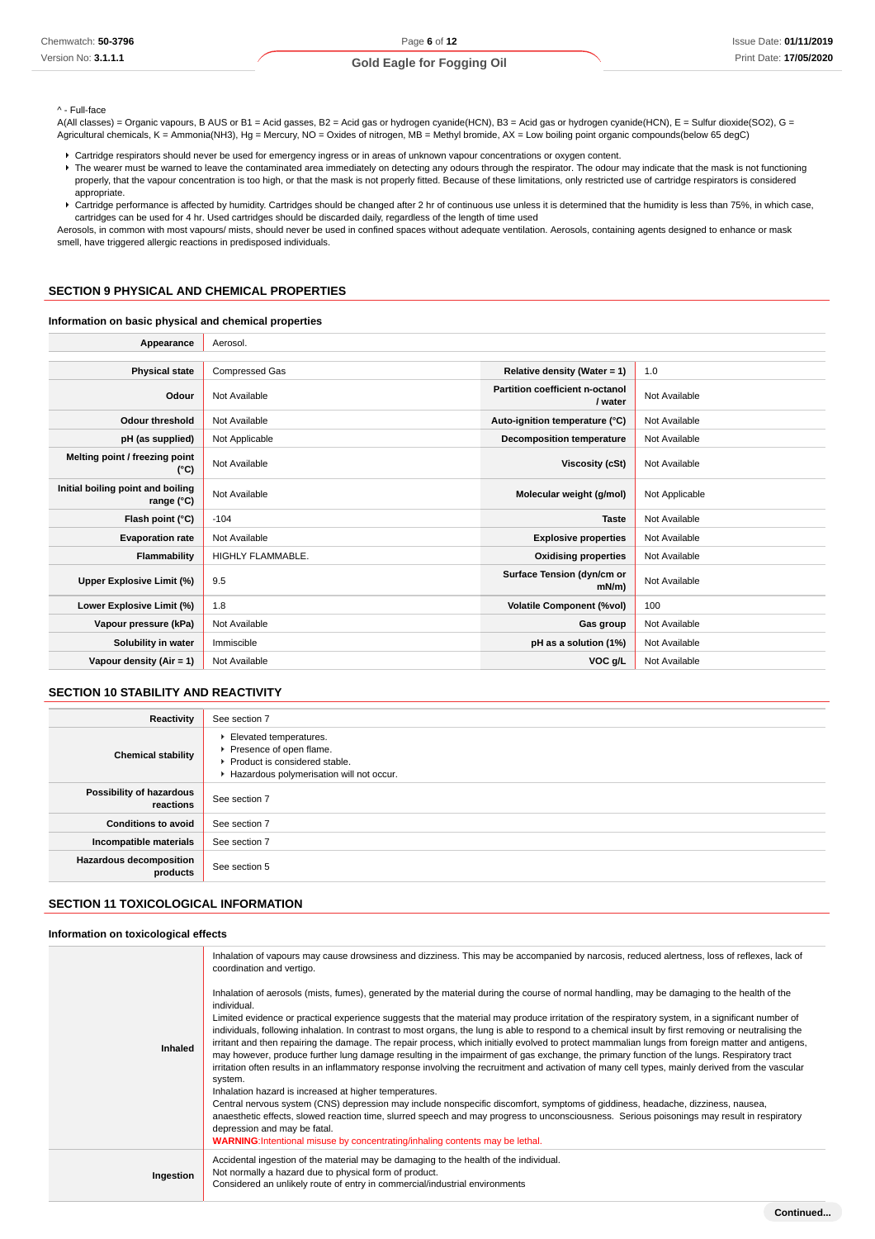#### ^ - Full-face

A(All classes) = Organic vapours, B AUS or B1 = Acid gasses, B2 = Acid gas or hydrogen cyanide(HCN), B3 = Acid gas or hydrogen cyanide(HCN), E = Sulfur dioxide(SO2), G = Agricultural chemicals, K = Ammonia(NH3), Hg = Mercury, NO = Oxides of nitrogen, MB = Methyl bromide, AX = Low boiling point organic compounds(below 65 degC)

- Cartridge respirators should never be used for emergency ingress or in areas of unknown vapour concentrations or oxygen content.
- F The wearer must be warned to leave the contaminated area immediately on detecting any odours through the respirator. The odour may indicate that the mask is not functioning properly, that the vapour concentration is too high, or that the mask is not properly fitted. Because of these limitations, only restricted use of cartridge respirators is considered appropriate.
- Cartridge performance is affected by humidity. Cartridges should be changed after 2 hr of continuous use unless it is determined that the humidity is less than 75%, in which case, cartridges can be used for 4 hr. Used cartridges should be discarded daily, regardless of the length of time used

Aerosols, in common with most vapours/ mists, should never be used in confined spaces without adequate ventilation. Aerosols, containing agents designed to enhance or mask smell, have triggered allergic reactions in predisposed individuals.

#### **SECTION 9 PHYSICAL AND CHEMICAL PROPERTIES**

#### **Information on basic physical and chemical properties**

| Appearance                                      | Aerosol.                 |                                            |                |
|-------------------------------------------------|--------------------------|--------------------------------------------|----------------|
|                                                 |                          |                                            |                |
| <b>Physical state</b>                           | <b>Compressed Gas</b>    | Relative density (Water = $1$ )            | 1.0            |
| Odour                                           | Not Available            | Partition coefficient n-octanol<br>/ water | Not Available  |
| <b>Odour threshold</b>                          | Not Available            | Auto-ignition temperature (°C)             | Not Available  |
| pH (as supplied)                                | Not Applicable           | <b>Decomposition temperature</b>           | Not Available  |
| Melting point / freezing point<br>(°C)          | Not Available            | <b>Viscosity (cSt)</b>                     | Not Available  |
| Initial boiling point and boiling<br>range (°C) | Not Available            | Molecular weight (g/mol)                   | Not Applicable |
| Flash point (°C)                                | $-104$                   | Taste                                      | Not Available  |
| <b>Evaporation rate</b>                         | Not Available            | <b>Explosive properties</b>                | Not Available  |
| Flammability                                    | <b>HIGHLY FLAMMABLE.</b> | <b>Oxidising properties</b>                | Not Available  |
| Upper Explosive Limit (%)                       | 9.5                      | Surface Tension (dyn/cm or<br>mN/m         | Not Available  |
| Lower Explosive Limit (%)                       | 1.8                      | <b>Volatile Component (%vol)</b>           | 100            |
| Vapour pressure (kPa)                           | Not Available            | Gas group                                  | Not Available  |
| Solubility in water                             | Immiscible               | pH as a solution (1%)                      | Not Available  |
| Vapour density (Air = 1)                        | Not Available            | VOC g/L                                    | Not Available  |

### **SECTION 10 STABILITY AND REACTIVITY**

| <b>Reactivity</b>                          | See section 7                                                                                                                    |
|--------------------------------------------|----------------------------------------------------------------------------------------------------------------------------------|
| <b>Chemical stability</b>                  | Elevated temperatures.<br>Presence of open flame.<br>▶ Product is considered stable.<br>Hazardous polymerisation will not occur. |
| Possibility of hazardous<br>reactions      | See section 7                                                                                                                    |
| <b>Conditions to avoid</b>                 | See section 7                                                                                                                    |
| Incompatible materials                     | See section 7                                                                                                                    |
| <b>Hazardous decomposition</b><br>products | See section 5                                                                                                                    |

#### **SECTION 11 TOXICOLOGICAL INFORMATION**

#### **Information on toxicological effects**

|           | Inhalation of vapours may cause drowsiness and dizziness. This may be accompanied by narcosis, reduced alertness, loss of reflexes, lack of<br>coordination and vertigo.                                                                                                                                                                                                                                                                                                                                                                                                                                                                                                                                                                                                                                                                                                                                                                   |
|-----------|--------------------------------------------------------------------------------------------------------------------------------------------------------------------------------------------------------------------------------------------------------------------------------------------------------------------------------------------------------------------------------------------------------------------------------------------------------------------------------------------------------------------------------------------------------------------------------------------------------------------------------------------------------------------------------------------------------------------------------------------------------------------------------------------------------------------------------------------------------------------------------------------------------------------------------------------|
| Inhaled   | Inhalation of aerosols (mists, fumes), generated by the material during the course of normal handling, may be damaging to the health of the<br>individual.<br>Limited evidence or practical experience suggests that the material may produce irritation of the respiratory system, in a significant number of<br>individuals, following inhalation. In contrast to most organs, the lung is able to respond to a chemical insult by first removing or neutralising the<br>irritant and then repairing the damage. The repair process, which initially evolved to protect mammalian lungs from foreign matter and antigens,<br>may however, produce further lung damage resulting in the impairment of gas exchange, the primary function of the lungs. Respiratory tract<br>irritation often results in an inflammatory response involving the recruitment and activation of many cell types, mainly derived from the vascular<br>system. |
|           | Inhalation hazard is increased at higher temperatures.<br>Central nervous system (CNS) depression may include nonspecific discomfort, symptoms of giddiness, headache, dizziness, nausea,<br>anaesthetic effects, slowed reaction time, slurred speech and may progress to unconsciousness. Serious poisonings may result in respiratory<br>depression and may be fatal.<br>WARNING: Intentional misuse by concentrating/inhaling contents may be lethal.                                                                                                                                                                                                                                                                                                                                                                                                                                                                                  |
| Ingestion | Accidental ingestion of the material may be damaging to the health of the individual.<br>Not normally a hazard due to physical form of product.<br>Considered an unlikely route of entry in commercial/industrial environments                                                                                                                                                                                                                                                                                                                                                                                                                                                                                                                                                                                                                                                                                                             |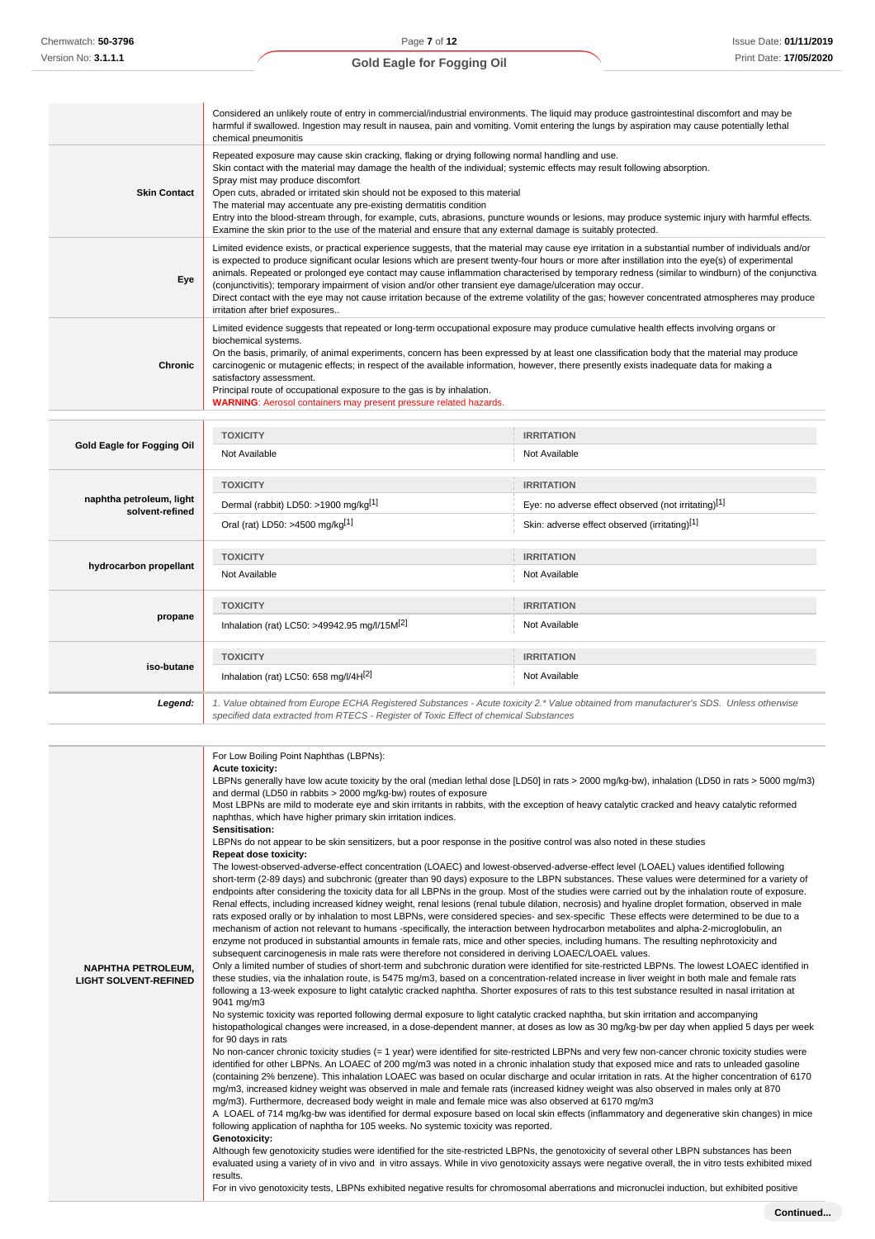|                                             | Considered an unlikely route of entry in commercial/industrial environments. The liquid may produce gastrointestinal discomfort and may be<br>harmful if swallowed. Ingestion may result in nausea, pain and vomiting. Vomit entering the lungs by aspiration may cause potentially lethal<br>chemical pneumonitis                                                                                                                                                                                                                                                                                                                                                                                                                                          |                                                                                                                                        |  |  |
|---------------------------------------------|-------------------------------------------------------------------------------------------------------------------------------------------------------------------------------------------------------------------------------------------------------------------------------------------------------------------------------------------------------------------------------------------------------------------------------------------------------------------------------------------------------------------------------------------------------------------------------------------------------------------------------------------------------------------------------------------------------------------------------------------------------------|----------------------------------------------------------------------------------------------------------------------------------------|--|--|
| <b>Skin Contact</b>                         | Repeated exposure may cause skin cracking, flaking or drying following normal handling and use.<br>Skin contact with the material may damage the health of the individual; systemic effects may result following absorption.<br>Spray mist may produce discomfort<br>Open cuts, abraded or irritated skin should not be exposed to this material<br>The material may accentuate any pre-existing dermatitis condition<br>Entry into the blood-stream through, for example, cuts, abrasions, puncture wounds or lesions, may produce systemic injury with harmful effects.<br>Examine the skin prior to the use of the material and ensure that any external damage is suitably protected.                                                                   |                                                                                                                                        |  |  |
| Eye                                         | Limited evidence exists, or practical experience suggests, that the material may cause eye irritation in a substantial number of individuals and/or<br>is expected to produce significant ocular lesions which are present twenty-four hours or more after instillation into the eye(s) of experimental<br>animals. Repeated or prolonged eye contact may cause inflammation characterised by temporary redness (similar to windburn) of the conjunctiva<br>(conjunctivitis); temporary impairment of vision and/or other transient eye damage/ulceration may occur.<br>Direct contact with the eye may not cause irritation because of the extreme volatility of the gas; however concentrated atmospheres may produce<br>irritation after brief exposures |                                                                                                                                        |  |  |
| <b>Chronic</b>                              | Limited evidence suggests that repeated or long-term occupational exposure may produce cumulative health effects involving organs or<br>biochemical systems.<br>On the basis, primarily, of animal experiments, concern has been expressed by at least one classification body that the material may produce<br>carcinogenic or mutagenic effects; in respect of the available information, however, there presently exists inadequate data for making a<br>satisfactory assessment.<br>Principal route of occupational exposure to the gas is by inhalation.<br><b>WARNING:</b> Aerosol containers may present pressure related hazards.                                                                                                                   |                                                                                                                                        |  |  |
|                                             | <b>TOXICITY</b>                                                                                                                                                                                                                                                                                                                                                                                                                                                                                                                                                                                                                                                                                                                                             | <b>IRRITATION</b>                                                                                                                      |  |  |
| Gold Eagle for Fogging Oil                  | Not Available                                                                                                                                                                                                                                                                                                                                                                                                                                                                                                                                                                                                                                                                                                                                               | Not Available                                                                                                                          |  |  |
|                                             | <b>TOXICITY</b>                                                                                                                                                                                                                                                                                                                                                                                                                                                                                                                                                                                                                                                                                                                                             | <b>IRRITATION</b>                                                                                                                      |  |  |
| naphtha petroleum, light<br>solvent-refined | Dermal (rabbit) LD50: >1900 mg/kg[1]                                                                                                                                                                                                                                                                                                                                                                                                                                                                                                                                                                                                                                                                                                                        | Eye: no adverse effect observed (not irritating)[1]                                                                                    |  |  |
|                                             | Oral (rat) LD50: >4500 mg/kg[1]                                                                                                                                                                                                                                                                                                                                                                                                                                                                                                                                                                                                                                                                                                                             | Skin: adverse effect observed (irritating)[1]                                                                                          |  |  |
|                                             | <b>TOXICITY</b>                                                                                                                                                                                                                                                                                                                                                                                                                                                                                                                                                                                                                                                                                                                                             | <b>IRRITATION</b>                                                                                                                      |  |  |
| hydrocarbon propellant                      | Not Available                                                                                                                                                                                                                                                                                                                                                                                                                                                                                                                                                                                                                                                                                                                                               | Not Available                                                                                                                          |  |  |
|                                             | <b>TOXICITY</b>                                                                                                                                                                                                                                                                                                                                                                                                                                                                                                                                                                                                                                                                                                                                             | <b>IRRITATION</b>                                                                                                                      |  |  |
| propane                                     | Inhalation (rat) LC50: >49942.95 mg/l/15M <sup>[2]</sup>                                                                                                                                                                                                                                                                                                                                                                                                                                                                                                                                                                                                                                                                                                    | Not Available                                                                                                                          |  |  |
|                                             | <b>TOXICITY</b>                                                                                                                                                                                                                                                                                                                                                                                                                                                                                                                                                                                                                                                                                                                                             | <b>IRRITATION</b>                                                                                                                      |  |  |
| iso-butane                                  | Inhalation (rat) LC50: 658 mg/l/4H <sup>[2]</sup>                                                                                                                                                                                                                                                                                                                                                                                                                                                                                                                                                                                                                                                                                                           | Not Available                                                                                                                          |  |  |
| Legend:                                     |                                                                                                                                                                                                                                                                                                                                                                                                                                                                                                                                                                                                                                                                                                                                                             | 1. Value obtained from Europe ECHA Registered Substances - Acute toxicity 2.* Value obtained from manufacturer's SDS. Unless otherwise |  |  |

| <b>NAPHTHA PETROLEUM,</b><br><b>LIGHT SOLVENT-REFINED</b> | For Low Boiling Point Naphthas (LBPNs):<br><b>Acute toxicity:</b><br>LBPNs generally have low acute toxicity by the oral (median lethal dose [LD50] in rats > 2000 mg/kg-bw), inhalation (LD50 in rats > 5000 mg/m3)<br>and dermal (LD50 in rabbits > 2000 mg/kg-bw) routes of exposure<br>Most LBPNs are mild to moderate eye and skin irritants in rabbits, with the exception of heavy catalytic cracked and heavy catalytic reformed<br>naphthas, which have higher primary skin irritation indices.<br>Sensitisation:<br>LBPNs do not appear to be skin sensitizers, but a poor response in the positive control was also noted in these studies<br><b>Repeat dose toxicity:</b><br>The lowest-observed-adverse-effect concentration (LOAEC) and lowest-observed-adverse-effect level (LOAEL) values identified following<br>short-term (2-89 days) and subchronic (greater than 90 days) exposure to the LBPN substances. These values were determined for a variety of<br>endpoints after considering the toxicity data for all LBPNs in the group. Most of the studies were carried out by the inhalation route of exposure.<br>Renal effects, including increased kidney weight, renal lesions (renal tubule dilation, necrosis) and hyaline droplet formation, observed in male<br>rats exposed orally or by inhalation to most LBPNs, were considered species- and sex-specific These effects were determined to be due to a<br>mechanism of action not relevant to humans -specifically, the interaction between hydrocarbon metabolites and alpha-2-microglobulin, an<br>enzyme not produced in substantial amounts in female rats, mice and other species, including humans. The resulting nephrotoxicity and<br>subsequent carcinogenesis in male rats were therefore not considered in deriving LOAEC/LOAEL values.<br>Only a limited number of studies of short-term and subchronic duration were identified for site-restricted LBPNs. The lowest LOAEC identified in<br>these studies, via the inhalation route, is 5475 mg/m3, based on a concentration-related increase in liver weight in both male and female rats<br>following a 13-week exposure to light catalytic cracked naphtha. Shorter exposures of rats to this test substance resulted in nasal irritation at<br>9041 mg/m3<br>No systemic toxicity was reported following dermal exposure to light catalytic cracked naphtha, but skin irritation and accompanying<br>histopathological changes were increased, in a dose-dependent manner, at doses as low as 30 mg/kg-bw per day when applied 5 days per week<br>for 90 days in rats<br>No non-cancer chronic toxicity studies (= 1 year) were identified for site-restricted LBPNs and very few non-cancer chronic toxicity studies were<br>identified for other LBPNs. An LOAEC of 200 mg/m3 was noted in a chronic inhalation study that exposed mice and rats to unleaded gasoline<br>(containing 2% benzene). This inhalation LOAEC was based on ocular discharge and ocular irritation in rats. At the higher concentration of 6170<br>mg/m3, increased kidney weight was observed in male and female rats (increased kidney weight was also observed in males only at 870<br>mg/m3). Furthermore, decreased body weight in male and female mice was also observed at 6170 mg/m3<br>A LOAEL of 714 mg/kg-bw was identified for dermal exposure based on local skin effects (inflammatory and degenerative skin changes) in mice<br>following application of naphtha for 105 weeks. No systemic toxicity was reported.<br>Genotoxicity:<br>Although few genotoxicity studies were identified for the site-restricted LBPNs, the genotoxicity of several other LBPN substances has been<br>evaluated using a variety of in vivo and in vitro assays. While in vivo genotoxicity assays were negative overall, the in vitro tests exhibited mixed<br>results. |
|-----------------------------------------------------------|------------------------------------------------------------------------------------------------------------------------------------------------------------------------------------------------------------------------------------------------------------------------------------------------------------------------------------------------------------------------------------------------------------------------------------------------------------------------------------------------------------------------------------------------------------------------------------------------------------------------------------------------------------------------------------------------------------------------------------------------------------------------------------------------------------------------------------------------------------------------------------------------------------------------------------------------------------------------------------------------------------------------------------------------------------------------------------------------------------------------------------------------------------------------------------------------------------------------------------------------------------------------------------------------------------------------------------------------------------------------------------------------------------------------------------------------------------------------------------------------------------------------------------------------------------------------------------------------------------------------------------------------------------------------------------------------------------------------------------------------------------------------------------------------------------------------------------------------------------------------------------------------------------------------------------------------------------------------------------------------------------------------------------------------------------------------------------------------------------------------------------------------------------------------------------------------------------------------------------------------------------------------------------------------------------------------------------------------------------------------------------------------------------------------------------------------------------------------------------------------------------------------------------------------------------------------------------------------------------------------------------------------------------------------------------------------------------------------------------------------------------------------------------------------------------------------------------------------------------------------------------------------------------------------------------------------------------------------------------------------------------------------------------------------------------------------------------------------------------------------------------------------------------------------------------------------------------------------------------------------------------------------------------------------------------------------------------------------------------------------------------------------------------------------------------------------------------------------------------------------------------------------------------------------------------------------------------------------------------------------------------------------------------------------------------------------------------------------------------------------------------------------------------------------------------------------------------------------------------------------------------------------------|
|                                                           | For in vivo genotoxicity tests, LBPNs exhibited negative results for chromosomal aberrations and micronuclei induction, but exhibited positive                                                                                                                                                                                                                                                                                                                                                                                                                                                                                                                                                                                                                                                                                                                                                                                                                                                                                                                                                                                                                                                                                                                                                                                                                                                                                                                                                                                                                                                                                                                                                                                                                                                                                                                                                                                                                                                                                                                                                                                                                                                                                                                                                                                                                                                                                                                                                                                                                                                                                                                                                                                                                                                                                                                                                                                                                                                                                                                                                                                                                                                                                                                                                                                                                                                                                                                                                                                                                                                                                                                                                                                                                                                                                                                                                       |

specified data extracted from RTECS - Register of Toxic Effect of chemical Substances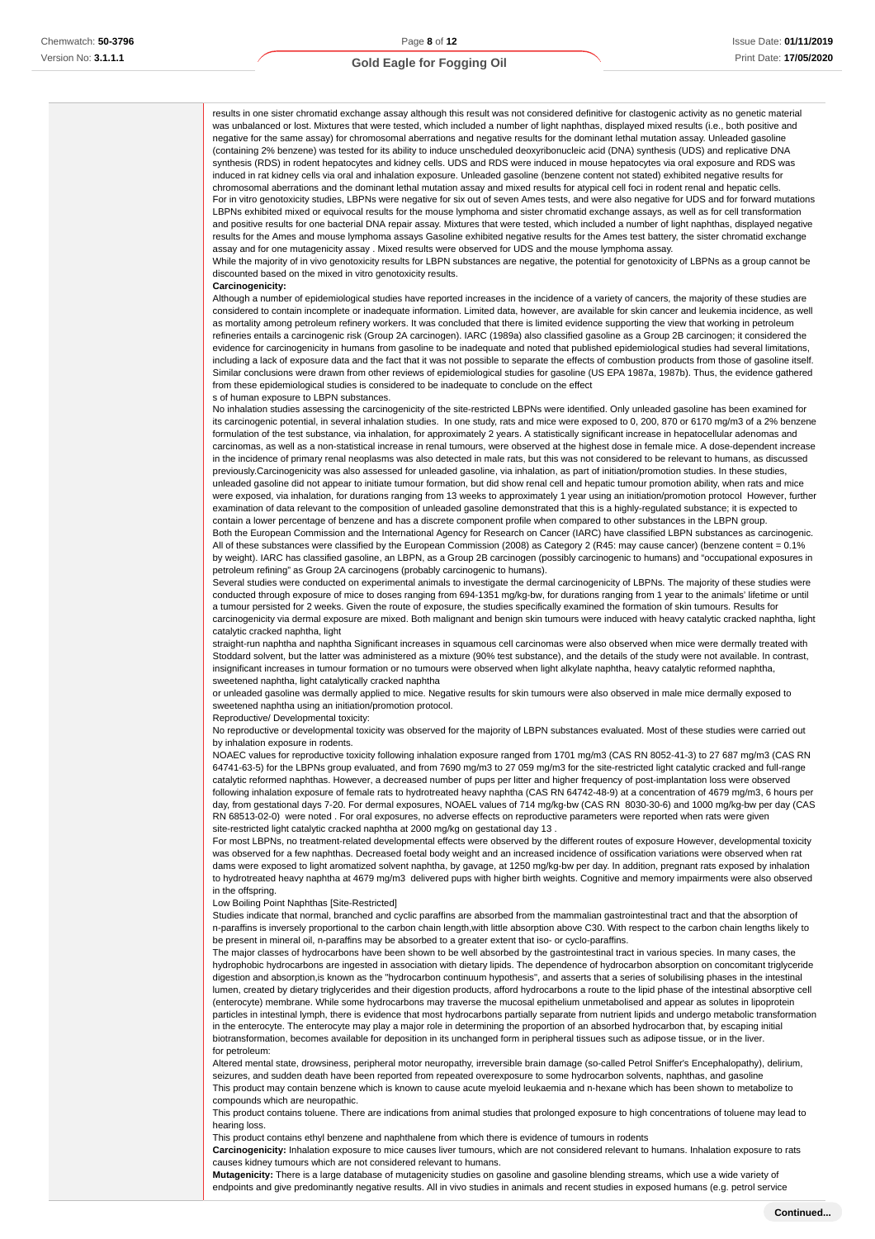results in one sister chromatid exchange assay although this result was not considered definitive for clastogenic activity as no genetic material was unbalanced or lost. Mixtures that were tested, which included a number of light naphthas, displayed mixed results (i.e., both positive and negative for the same assay) for chromosomal aberrations and negative results for the dominant lethal mutation assay. Unleaded gasoline (containing 2% benzene) was tested for its ability to induce unscheduled deoxyribonucleic acid (DNA) synthesis (UDS) and replicative DNA synthesis (RDS) in rodent hepatocytes and kidney cells. UDS and RDS were induced in mouse hepatocytes via oral exposure and RDS was induced in rat kidney cells via oral and inhalation exposure. Unleaded gasoline (benzene content not stated) exhibited negative results for chromosomal aberrations and the dominant lethal mutation assay and mixed results for atypical cell foci in rodent renal and hepatic cells. For in vitro genotoxicity studies, LBPNs were negative for six out of seven Ames tests, and were also negative for UDS and for forward mutations LBPNs exhibited mixed or equivocal results for the mouse lymphoma and sister chromatid exchange assays, as well as for cell transformation and positive results for one bacterial DNA repair assay. Mixtures that were tested, which included a number of light naphthas, displayed negative results for the Ames and mouse lymphoma assays Gasoline exhibited negative results for the Ames test battery, the sister chromatid exchange assay and for one mutagenicity assay . Mixed results were observed for UDS and the mouse lymphoma assay.

While the majority of in vivo genotoxicity results for LBPN substances are negative, the potential for genotoxicity of LBPNs as a group cannot be discounted based on the mixed in vitro genotoxicity results.

#### **Carcinogenicity:**

Although a number of epidemiological studies have reported increases in the incidence of a variety of cancers, the majority of these studies are considered to contain incomplete or inadequate information. Limited data, however, are available for skin cancer and leukemia incidence, as well as mortality among petroleum refinery workers. It was concluded that there is limited evidence supporting the view that working in petroleum refineries entails a carcinogenic risk (Group 2A carcinogen). IARC (1989a) also classified gasoline as a Group 2B carcinogen; it considered the evidence for carcinogenicity in humans from gasoline to be inadequate and noted that published epidemiological studies had several limitations, including a lack of exposure data and the fact that it was not possible to separate the effects of combustion products from those of gasoline itself. Similar conclusions were drawn from other reviews of epidemiological studies for gasoline (US EPA 1987a, 1987b). Thus, the evidence gathered from these epidemiological studies is considered to be inadequate to conclude on the effect s of human exposure to LBPN substances.

No inhalation studies assessing the carcinogenicity of the site-restricted LBPNs were identified. Only unleaded gasoline has been examined for its carcinogenic potential, in several inhalation studies. In one study, rats and mice were exposed to 0, 200, 870 or 6170 mg/m3 of a 2% benzene formulation of the test substance, via inhalation, for approximately 2 years. A statistically significant increase in hepatocellular adenomas and carcinomas, as well as a non-statistical increase in renal tumours, were observed at the highest dose in female mice. A dose-dependent increase in the incidence of primary renal neoplasms was also detected in male rats, but this was not considered to be relevant to humans, as discussed previously.Carcinogenicity was also assessed for unleaded gasoline, via inhalation, as part of initiation/promotion studies. In these studies, unleaded gasoline did not appear to initiate tumour formation, but did show renal cell and hepatic tumour promotion ability, when rats and mice were exposed, via inhalation, for durations ranging from 13 weeks to approximately 1 year using an initiation/promotion protocol However, further examination of data relevant to the composition of unleaded gasoline demonstrated that this is a highly-regulated substance; it is expected to contain a lower percentage of benzene and has a discrete component profile when compared to other substances in the LBPN group.

Both the European Commission and the International Agency for Research on Cancer (IARC) have classified LBPN substances as carcinogenic. All of these substances were classified by the European Commission (2008) as Category 2 (R45: may cause cancer) (benzene content = 0.1% by weight). IARC has classified gasoline, an LBPN, as a Group 2B carcinogen (possibly carcinogenic to humans) and "occupational exposures in petroleum refining" as Group 2A carcinogens (probably carcinogenic to humans).

Several studies were conducted on experimental animals to investigate the dermal carcinogenicity of LBPNs. The majority of these studies were conducted through exposure of mice to doses ranging from 694-1351 mg/kg-bw, for durations ranging from 1 year to the animals' lifetime or until a tumour persisted for 2 weeks. Given the route of exposure, the studies specifically examined the formation of skin tumours. Results for carcinogenicity via dermal exposure are mixed. Both malignant and benign skin tumours were induced with heavy catalytic cracked naphtha, light catalytic cracked naphtha, light

straight-run naphtha and naphtha Significant increases in squamous cell carcinomas were also observed when mice were dermally treated with Stoddard solvent, but the latter was administered as a mixture (90% test substance), and the details of the study were not available. In contrast, insignificant increases in tumour formation or no tumours were observed when light alkylate naphtha, heavy catalytic reformed naphtha, sweetened naphtha, light catalytically cracked naphtha

or unleaded gasoline was dermally applied to mice. Negative results for skin tumours were also observed in male mice dermally exposed to sweetened naphtha using an initiation/promotion protocol.

#### Reproductive/ Developmental toxicity:

No reproductive or developmental toxicity was observed for the majority of LBPN substances evaluated. Most of these studies were carried out by inhalation exposure in rodents.

NOAEC values for reproductive toxicity following inhalation exposure ranged from 1701 mg/m3 (CAS RN 8052-41-3) to 27 687 mg/m3 (CAS RN 64741-63-5) for the LBPNs group evaluated, and from 7690 mg/m3 to 27 059 mg/m3 for the site-restricted light catalytic cracked and full-range catalytic reformed naphthas. However, a decreased number of pups per litter and higher frequency of post-implantation loss were observed following inhalation exposure of female rats to hydrotreated heavy naphtha (CAS RN 64742-48-9) at a concentration of 4679 mg/m3, 6 hours per day, from gestational days 7-20. For dermal exposures, NOAEL values of 714 mg/kg-bw (CAS RN 8030-30-6) and 1000 mg/kg-bw per day (CAS RN 68513-02-0) were noted . For oral exposures, no adverse effects on reproductive parameters were reported when rats were given site-restricted light catalytic cracked naphtha at 2000 mg/kg on gestational day 13 .

For most LBPNs, no treatment-related developmental effects were observed by the different routes of exposure However, developmental toxicity was observed for a few naphthas. Decreased foetal body weight and an increased incidence of ossification variations were observed when rat dams were exposed to light aromatized solvent naphtha, by gavage, at 1250 mg/kg-bw per day. In addition, pregnant rats exposed by inhalation to hydrotreated heavy naphtha at 4679 mg/m3 delivered pups with higher birth weights. Cognitive and memory impairments were also observed in the offspring.

#### Low Boiling Point Naphthas [Site-Restricted]

Studies indicate that normal, branched and cyclic paraffins are absorbed from the mammalian gastrointestinal tract and that the absorption of n-paraffins is inversely proportional to the carbon chain length,with little absorption above C30. With respect to the carbon chain lengths likely to be present in mineral oil, n-paraffins may be absorbed to a greater extent that iso- or cyclo-paraffins.

The major classes of hydrocarbons have been shown to be well absorbed by the gastrointestinal tract in various species. In many cases, the hydrophobic hydrocarbons are ingested in association with dietary lipids. The dependence of hydrocarbon absorption on concomitant triglyceride digestion and absorption,is known as the "hydrocarbon continuum hypothesis", and asserts that a series of solubilising phases in the intestinal lumen, created by dietary triglycerides and their digestion products, afford hydrocarbons a route to the lipid phase of the intestinal absorptive cell (enterocyte) membrane. While some hydrocarbons may traverse the mucosal epithelium unmetabolised and appear as solutes in lipoprotein particles in intestinal lymph, there is evidence that most hydrocarbons partially separate from nutrient lipids and undergo metabolic transformation in the enterocyte. The enterocyte may play a major role in determining the proportion of an absorbed hydrocarbon that, by escaping initial biotransformation, becomes available for deposition in its unchanged form in peripheral tissues such as adipose tissue, or in the liver. for petroleum:

Altered mental state, drowsiness, peripheral motor neuropathy, irreversible brain damage (so-called Petrol Sniffer's Encephalopathy), delirium, seizures, and sudden death have been reported from repeated overexposure to some hydrocarbon solvents, naphthas, and gasoline This product may contain benzene which is known to cause acute myeloid leukaemia and n-hexane which has been shown to metabolize to compounds which are neuropathic.

This product contains toluene. There are indications from animal studies that prolonged exposure to high concentrations of toluene may lead to hearing loss.

This product contains ethyl benzene and naphthalene from which there is evidence of tumours in rodents

**Carcinogenicity:** Inhalation exposure to mice causes liver tumours, which are not considered relevant to humans. Inhalation exposure to rats causes kidney tumours which are not considered relevant to humans.

**Mutagenicity:** There is a large database of mutagenicity studies on gasoline and gasoline blending streams, which use a wide variety of endpoints and give predominantly negative results. All in vivo studies in animals and recent studies in exposed humans (e.g. petrol service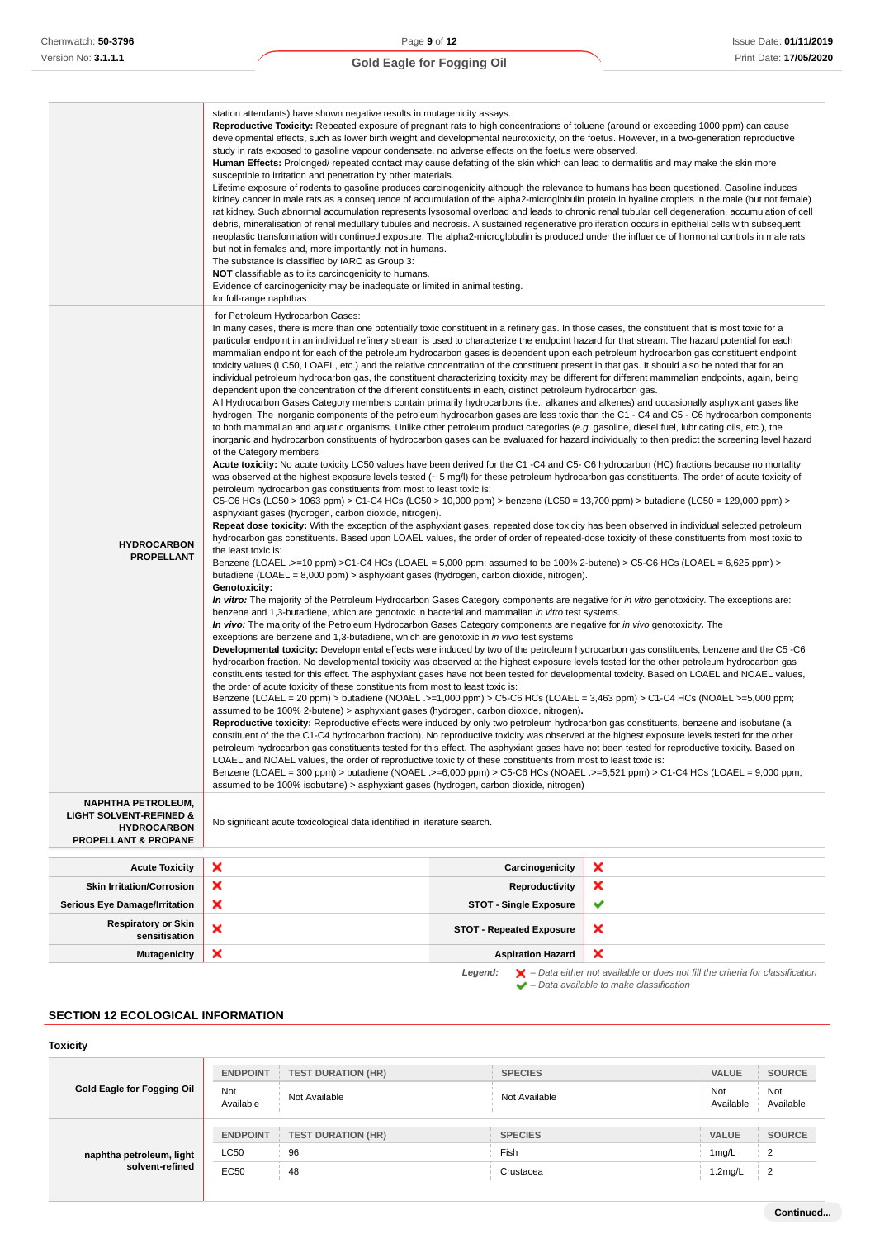|                                                                                                                          | station attendants) have shown negative results in mutagenicity assays.<br>Reproductive Toxicity: Repeated exposure of pregnant rats to high concentrations of toluene (around or exceeding 1000 ppm) can cause<br>developmental effects, such as lower birth weight and developmental neurotoxicity, on the foetus. However, in a two-generation reproductive<br>study in rats exposed to gasoline vapour condensate, no adverse effects on the foetus were observed.<br>Human Effects: Prolonged/ repeated contact may cause defatting of the skin which can lead to dermatitis and may make the skin more<br>susceptible to irritation and penetration by other materials.<br>Lifetime exposure of rodents to gasoline produces carcinogenicity although the relevance to humans has been questioned. Gasoline induces<br>debris, mineralisation of renal medullary tubules and necrosis. A sustained regenerative proliferation occurs in epithelial cells with subsequent<br>but not in females and, more importantly, not in humans.<br>The substance is classified by IARC as Group 3:<br><b>NOT</b> classifiable as to its carcinogenicity to humans.<br>Evidence of carcinogenicity may be inadequate or limited in animal testing.<br>for full-range naphthas                                                                                                                                                                                                                                                                                                                                                                                                                                                                                                                                                                                                                                                                                                                                                                                                                                                                                                                                                                                                                                                                                                                                                                                                                                                                                                                                                                                                                                                                                                                                                                                                                                                                                                                                                                                                                                                                                                                                                                                                                                                                                                                                                                                                                                                                                                                                                                                                                                                                                                                                                                                                                                                                                                                                                                                                                                                                                                                                                                                                                                                                                                                                                                                                                                                                                                                                                                                                     |                                 | kidney cancer in male rats as a consequence of accumulation of the alpha2-microglobulin protein in hyaline droplets in the male (but not female)<br>rat kidney. Such abnormal accumulation represents lysosomal overload and leads to chronic renal tubular cell degeneration, accumulation of cell<br>neoplastic transformation with continued exposure. The alpha2-microglobulin is produced under the influence of hormonal controls in male rats |  |  |
|--------------------------------------------------------------------------------------------------------------------------|-----------------------------------------------------------------------------------------------------------------------------------------------------------------------------------------------------------------------------------------------------------------------------------------------------------------------------------------------------------------------------------------------------------------------------------------------------------------------------------------------------------------------------------------------------------------------------------------------------------------------------------------------------------------------------------------------------------------------------------------------------------------------------------------------------------------------------------------------------------------------------------------------------------------------------------------------------------------------------------------------------------------------------------------------------------------------------------------------------------------------------------------------------------------------------------------------------------------------------------------------------------------------------------------------------------------------------------------------------------------------------------------------------------------------------------------------------------------------------------------------------------------------------------------------------------------------------------------------------------------------------------------------------------------------------------------------------------------------------------------------------------------------------------------------------------------------------------------------------------------------------------------------------------------------------------------------------------------------------------------------------------------------------------------------------------------------------------------------------------------------------------------------------------------------------------------------------------------------------------------------------------------------------------------------------------------------------------------------------------------------------------------------------------------------------------------------------------------------------------------------------------------------------------------------------------------------------------------------------------------------------------------------------------------------------------------------------------------------------------------------------------------------------------------------------------------------------------------------------------------------------------------------------------------------------------------------------------------------------------------------------------------------------------------------------------------------------------------------------------------------------------------------------------------------------------------------------------------------------------------------------------------------------------------------------------------------------------------------------------------------------------------------------------------------------------------------------------------------------------------------------------------------------------------------------------------------------------------------------------------------------------------------------------------------------------------------------------------------------------------------------------------------------------------------------------------------------------------------------------------------------------------------------------------------------------------------------------------------------------------------------------------------------------------------------------------------------------------------------------------------------------------------------------------------------------------------------------------------------------------------------------------------------------------------------------------------------------------------------------------------------------------------------------------------------------------------------------------------------------------------------------------------------------------------------------------------------------------------------------------------------------------------------------------------------|---------------------------------|------------------------------------------------------------------------------------------------------------------------------------------------------------------------------------------------------------------------------------------------------------------------------------------------------------------------------------------------------------------------------------------------------------------------------------------------------|--|--|
| <b>HYDROCARBON</b><br><b>PROPELLANT</b>                                                                                  | for Petroleum Hydrocarbon Gases:<br>In many cases, there is more than one potentially toxic constituent in a refinery gas. In those cases, the constituent that is most toxic for a<br>particular endpoint in an individual refinery stream is used to characterize the endpoint hazard for that stream. The hazard potential for each<br>mammalian endpoint for each of the petroleum hydrocarbon gases is dependent upon each petroleum hydrocarbon gas constituent endpoint<br>toxicity values (LC50, LOAEL, etc.) and the relative concentration of the constituent present in that gas. It should also be noted that for an<br>individual petroleum hydrocarbon gas, the constituent characterizing toxicity may be different for different mammalian endpoints, again, being<br>dependent upon the concentration of the different constituents in each, distinct petroleum hydrocarbon gas.<br>All Hydrocarbon Gases Category members contain primarily hydrocarbons (i.e., alkanes and alkenes) and occasionally asphyxiant gases like<br>hydrogen. The inorganic components of the petroleum hydrocarbon gases are less toxic than the C1 - C4 and C5 - C6 hydrocarbon components<br>to both mammalian and aquatic organisms. Unlike other petroleum product categories (e.g. gasoline, diesel fuel, lubricating oils, etc.), the<br>inorganic and hydrocarbon constituents of hydrocarbon gases can be evaluated for hazard individually to then predict the screening level hazard<br>of the Category members<br>Acute toxicity: No acute toxicity LC50 values have been derived for the C1 -C4 and C5- C6 hydrocarbon (HC) fractions because no mortality<br>was observed at the highest exposure levels tested $(-5 \text{ mg/l})$ for these petroleum hydrocarbon gas constituents. The order of acute toxicity of<br>petroleum hydrocarbon gas constituents from most to least toxic is:<br>C5-C6 HCs (LC50 > 1063 ppm) > C1-C4 HCs (LC50 > 10,000 ppm) > benzene (LC50 = 13,700 ppm) > butadiene (LC50 = 129,000 ppm) ><br>asphyxiant gases (hydrogen, carbon dioxide, nitrogen).<br>Repeat dose toxicity: With the exception of the asphyxiant gases, repeated dose toxicity has been observed in individual selected petroleum<br>hydrocarbon gas constituents. Based upon LOAEL values, the order of order of repeated-dose toxicity of these constituents from most toxic to<br>the least toxic is:<br>Benzene (LOAEL .>=10 ppm) >C1-C4 HCs (LOAEL = 5,000 ppm; assumed to be 100% 2-butene) > C5-C6 HCs (LOAEL = 6,625 ppm) ><br>butadiene (LOAEL = 8,000 ppm) > asphyxiant gases (hydrogen, carbon dioxide, nitrogen).<br><b>Genotoxicity:</b><br>In vitro: The majority of the Petroleum Hydrocarbon Gases Category components are negative for in vitro genotoxicity. The exceptions are:<br>benzene and 1,3-butadiene, which are genotoxic in bacterial and mammalian in vitro test systems.<br>In vivo: The majority of the Petroleum Hydrocarbon Gases Category components are negative for in vivo genotoxicity. The<br>exceptions are benzene and 1,3-butadiene, which are genotoxic in in vivo test systems<br>Developmental toxicity: Developmental effects were induced by two of the petroleum hydrocarbon gas constituents, benzene and the C5 -C6<br>hydrocarbon fraction. No developmental toxicity was observed at the highest exposure levels tested for the other petroleum hydrocarbon gas<br>constituents tested for this effect. The asphyxiant gases have not been tested for developmental toxicity. Based on LOAEL and NOAEL values,<br>the order of acute toxicity of these constituents from most to least toxic is:<br>Benzene (LOAEL = 20 ppm) > butadiene (NOAEL .>=1,000 ppm) > C5-C6 HCs (LOAEL = 3,463 ppm) > C1-C4 HCs (NOAEL >=5,000 ppm;<br>assumed to be 100% 2-butene) > asphyxiant gases (hydrogen, carbon dioxide, nitrogen).<br>Reproductive toxicity: Reproductive effects were induced by only two petroleum hydrocarbon gas constituents, benzene and isobutane (a<br>constituent of the the C1-C4 hydrocarbon fraction). No reproductive toxicity was observed at the highest exposure levels tested for the other<br>petroleum hydrocarbon gas constituents tested for this effect. The asphyxiant gases have not been tested for reproductive toxicity. Based on<br>LOAEL and NOAEL values, the order of reproductive toxicity of these constituents from most to least toxic is:<br>Benzene (LOAEL = 300 ppm) > butadiene (NOAEL .>=6,000 ppm) > C5-C6 HCs (NOAEL .>=6,521 ppm) > C1-C4 HCs (LOAEL = 9,000 ppm;<br>assumed to be 100% isobutane) > asphyxiant gases (hydrogen, carbon dioxide, nitrogen) |                                 |                                                                                                                                                                                                                                                                                                                                                                                                                                                      |  |  |
| <b>NAPHTHA PETROLEUM,</b><br><b>LIGHT SOLVENT-REFINED &amp;</b><br><b>HYDROCARBON</b><br><b>PROPELLANT &amp; PROPANE</b> | No significant acute toxicological data identified in literature search.                                                                                                                                                                                                                                                                                                                                                                                                                                                                                                                                                                                                                                                                                                                                                                                                                                                                                                                                                                                                                                                                                                                                                                                                                                                                                                                                                                                                                                                                                                                                                                                                                                                                                                                                                                                                                                                                                                                                                                                                                                                                                                                                                                                                                                                                                                                                                                                                                                                                                                                                                                                                                                                                                                                                                                                                                                                                                                                                                                                                                                                                                                                                                                                                                                                                                                                                                                                                                                                                                                                                                                                                                                                                                                                                                                                                                                                                                                                                                                                                                                                                                                                                                                                                                                                                                                                                                                                                                                                                                                                                                                                                    |                                 |                                                                                                                                                                                                                                                                                                                                                                                                                                                      |  |  |
|                                                                                                                          |                                                                                                                                                                                                                                                                                                                                                                                                                                                                                                                                                                                                                                                                                                                                                                                                                                                                                                                                                                                                                                                                                                                                                                                                                                                                                                                                                                                                                                                                                                                                                                                                                                                                                                                                                                                                                                                                                                                                                                                                                                                                                                                                                                                                                                                                                                                                                                                                                                                                                                                                                                                                                                                                                                                                                                                                                                                                                                                                                                                                                                                                                                                                                                                                                                                                                                                                                                                                                                                                                                                                                                                                                                                                                                                                                                                                                                                                                                                                                                                                                                                                                                                                                                                                                                                                                                                                                                                                                                                                                                                                                                                                                                                                             |                                 |                                                                                                                                                                                                                                                                                                                                                                                                                                                      |  |  |
| <b>Acute Toxicity</b>                                                                                                    | ×                                                                                                                                                                                                                                                                                                                                                                                                                                                                                                                                                                                                                                                                                                                                                                                                                                                                                                                                                                                                                                                                                                                                                                                                                                                                                                                                                                                                                                                                                                                                                                                                                                                                                                                                                                                                                                                                                                                                                                                                                                                                                                                                                                                                                                                                                                                                                                                                                                                                                                                                                                                                                                                                                                                                                                                                                                                                                                                                                                                                                                                                                                                                                                                                                                                                                                                                                                                                                                                                                                                                                                                                                                                                                                                                                                                                                                                                                                                                                                                                                                                                                                                                                                                                                                                                                                                                                                                                                                                                                                                                                                                                                                                                           | Carcinogenicity                 | ×                                                                                                                                                                                                                                                                                                                                                                                                                                                    |  |  |
| <b>Skin Irritation/Corrosion</b>                                                                                         | ×                                                                                                                                                                                                                                                                                                                                                                                                                                                                                                                                                                                                                                                                                                                                                                                                                                                                                                                                                                                                                                                                                                                                                                                                                                                                                                                                                                                                                                                                                                                                                                                                                                                                                                                                                                                                                                                                                                                                                                                                                                                                                                                                                                                                                                                                                                                                                                                                                                                                                                                                                                                                                                                                                                                                                                                                                                                                                                                                                                                                                                                                                                                                                                                                                                                                                                                                                                                                                                                                                                                                                                                                                                                                                                                                                                                                                                                                                                                                                                                                                                                                                                                                                                                                                                                                                                                                                                                                                                                                                                                                                                                                                                                                           | <b>Reproductivity</b>           | ×                                                                                                                                                                                                                                                                                                                                                                                                                                                    |  |  |
| <b>Serious Eye Damage/Irritation</b>                                                                                     | ×                                                                                                                                                                                                                                                                                                                                                                                                                                                                                                                                                                                                                                                                                                                                                                                                                                                                                                                                                                                                                                                                                                                                                                                                                                                                                                                                                                                                                                                                                                                                                                                                                                                                                                                                                                                                                                                                                                                                                                                                                                                                                                                                                                                                                                                                                                                                                                                                                                                                                                                                                                                                                                                                                                                                                                                                                                                                                                                                                                                                                                                                                                                                                                                                                                                                                                                                                                                                                                                                                                                                                                                                                                                                                                                                                                                                                                                                                                                                                                                                                                                                                                                                                                                                                                                                                                                                                                                                                                                                                                                                                                                                                                                                           | <b>STOT - Single Exposure</b>   | ✔                                                                                                                                                                                                                                                                                                                                                                                                                                                    |  |  |
| <b>Respiratory or Skin</b><br>sensitisation                                                                              | ×                                                                                                                                                                                                                                                                                                                                                                                                                                                                                                                                                                                                                                                                                                                                                                                                                                                                                                                                                                                                                                                                                                                                                                                                                                                                                                                                                                                                                                                                                                                                                                                                                                                                                                                                                                                                                                                                                                                                                                                                                                                                                                                                                                                                                                                                                                                                                                                                                                                                                                                                                                                                                                                                                                                                                                                                                                                                                                                                                                                                                                                                                                                                                                                                                                                                                                                                                                                                                                                                                                                                                                                                                                                                                                                                                                                                                                                                                                                                                                                                                                                                                                                                                                                                                                                                                                                                                                                                                                                                                                                                                                                                                                                                           | <b>STOT - Repeated Exposure</b> | ×                                                                                                                                                                                                                                                                                                                                                                                                                                                    |  |  |
| <b>Mutagenicity</b>                                                                                                      |                                                                                                                                                                                                                                                                                                                                                                                                                                                                                                                                                                                                                                                                                                                                                                                                                                                                                                                                                                                                                                                                                                                                                                                                                                                                                                                                                                                                                                                                                                                                                                                                                                                                                                                                                                                                                                                                                                                                                                                                                                                                                                                                                                                                                                                                                                                                                                                                                                                                                                                                                                                                                                                                                                                                                                                                                                                                                                                                                                                                                                                                                                                                                                                                                                                                                                                                                                                                                                                                                                                                                                                                                                                                                                                                                                                                                                                                                                                                                                                                                                                                                                                                                                                                                                                                                                                                                                                                                                                                                                                                                                                                                                                                             | <b>Aspiration Hazard</b>        |                                                                                                                                                                                                                                                                                                                                                                                                                                                      |  |  |

**Legend:**  $\mathbf{X}$  – Data either not available or does not fill the criteria for classification – Data available to make classification

### **SECTION 12 ECOLOGICAL INFORMATION**

### **Toxicity**

| Gold Eagle for Fogging Oil                  | <b>ENDPOINT</b>  | <b>TEST DURATION (HR)</b> | <b>SPECIES</b> | <b>VALUE</b>     | <b>SOURCE</b>    |
|---------------------------------------------|------------------|---------------------------|----------------|------------------|------------------|
|                                             | Not<br>Available | Not Available             | Not Available  | Not<br>Available | Not<br>Available |
| naphtha petroleum, light<br>solvent-refined | <b>ENDPOINT</b>  | <b>TEST DURATION (HR)</b> | <b>SPECIES</b> | <b>VALUE</b>     | <b>SOURCE</b>    |
|                                             | <b>LC50</b>      | 96                        | Fish           | 1mg/L            | 2                |
|                                             | EC50             | 48                        | Crustacea      | 1.2mg/L          | $\overline{2}$   |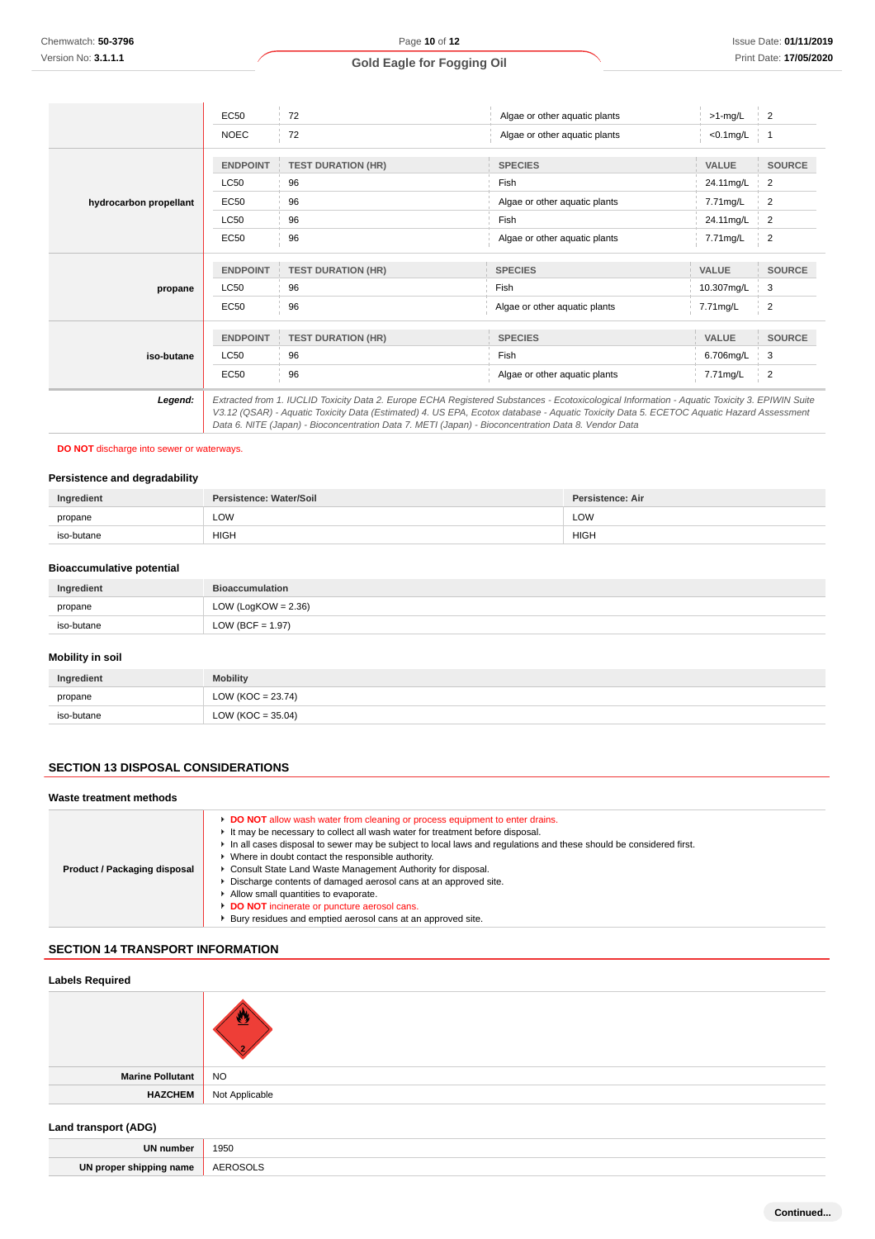|                        | EC50            | 72                                                                                                                                                                                                                                             |                               |               | $\overline{2}$ |
|------------------------|-----------------|------------------------------------------------------------------------------------------------------------------------------------------------------------------------------------------------------------------------------------------------|-------------------------------|---------------|----------------|
|                        |                 |                                                                                                                                                                                                                                                | Algae or other aquatic plants | $>1$ -mg/L    |                |
|                        | <b>NOEC</b>     | 72                                                                                                                                                                                                                                             | Algae or other aquatic plants | $<0.1$ mg/L 1 |                |
|                        |                 |                                                                                                                                                                                                                                                |                               |               |                |
|                        | <b>ENDPOINT</b> | <b>TEST DURATION (HR)</b>                                                                                                                                                                                                                      | <b>SPECIES</b>                | <b>VALUE</b>  | <b>SOURCE</b>  |
|                        | <b>LC50</b>     | 96                                                                                                                                                                                                                                             | Fish                          | 24.11mg/L     | 2              |
| hydrocarbon propellant | EC50            | 96                                                                                                                                                                                                                                             | Algae or other aquatic plants | 7.71mg/L      | 2              |
|                        | <b>LC50</b>     | 96                                                                                                                                                                                                                                             | Fish                          | 24.11mg/L     | 2              |
|                        | EC50            | 96                                                                                                                                                                                                                                             | Algae or other aquatic plants | 7.71mg/L      | $\overline{2}$ |
|                        |                 |                                                                                                                                                                                                                                                |                               |               |                |
|                        | <b>ENDPOINT</b> | <b>TEST DURATION (HR)</b>                                                                                                                                                                                                                      | <b>SPECIES</b>                | <b>VALUE</b>  | <b>SOURCE</b>  |
| propane                | LC50            | 96                                                                                                                                                                                                                                             | Fish                          | 10.307mg/L    | 3              |
|                        | <b>EC50</b>     | 96                                                                                                                                                                                                                                             | Algae or other aquatic plants | 7.71mg/L      | 2              |
|                        |                 |                                                                                                                                                                                                                                                |                               |               |                |
|                        | <b>ENDPOINT</b> | <b>TEST DURATION (HR)</b>                                                                                                                                                                                                                      | <b>SPECIES</b>                | VALUE         | <b>SOURCE</b>  |
| iso-butane             | <b>LC50</b>     | 96                                                                                                                                                                                                                                             | Fish                          | 6.706mg/L     | 3              |
|                        | EC50            | 96                                                                                                                                                                                                                                             | Algae or other aquatic plants | 7.71mg/L      | $\overline{2}$ |
| Legend:                |                 | Extracted from 1. IUCLID Toxicity Data 2. Europe ECHA Registered Substances - Ecotoxicological Information - Aquatic Toxicity 3. EPIWIN Suite                                                                                                  |                               |               |                |
|                        |                 | V3.12 (QSAR) - Aquatic Toxicity Data (Estimated) 4. US EPA, Ecotox database - Aquatic Toxicity Data 5. ECETOC Aquatic Hazard Assessment<br>Data 6. NITE (Japan) - Bioconcentration Data 7. METI (Japan) - Bioconcentration Data 8. Vendor Data |                               |               |                |

#### **DO NOT** discharge into sewer or waterways.

#### **Persistence and degradability**

| Ingredient | : Water/Soil<br>sistence: | Persistence: Air |  |
|------------|---------------------------|------------------|--|
| propane    | LOW                       | LOW<br>___       |  |
| iso-butane | <b>HIGH</b>               | <b>HIGH</b>      |  |

#### **Bioaccumulative potential**

| Ingredient | <b>Bioaccumulation</b> |
|------------|------------------------|
| propane    | LOW (LogKOW = $2.36$ ) |
| iso-butane | LOW (BCF = $1.97$ )    |

#### **Mobility in soil**

| Ingredient | <b>Mobility</b>       |
|------------|-----------------------|
| propane    | $LOW (KOC = 23.74)$   |
| iso-butane | LOW ( $KOC = 35.04$ ) |

### **SECTION 13 DISPOSAL CONSIDERATIONS**

#### **Waste treatment methods Product / Packaging disposal DO NOT** allow wash water from cleaning or process equipment to enter drains. It may be necessary to collect all wash water for treatment before disposal. In all cases disposal to sewer may be subject to local laws and regulations and these should be considered first. Where in doubt contact the responsible authority. Consult State Land Waste Management Authority for disposal. Discharge contents of damaged aerosol cans at an approved site. Allow small quantities to evaporate. **DO NOT** incinerate or puncture aerosol cans. Bury residues and emptied aerosol cans at an approved site.

#### **SECTION 14 TRANSPORT INFORMATION**

| <b>Labels Required</b>  |                |  |  |
|-------------------------|----------------|--|--|
|                         |                |  |  |
| <b>Marine Pollutant</b> | <b>NO</b>      |  |  |
| <b>HAZCHEM</b>          | Not Applicable |  |  |

#### **Land transport (ADG)**

| UN numi.   | 1950 |
|------------|------|
| IN<br>name |      |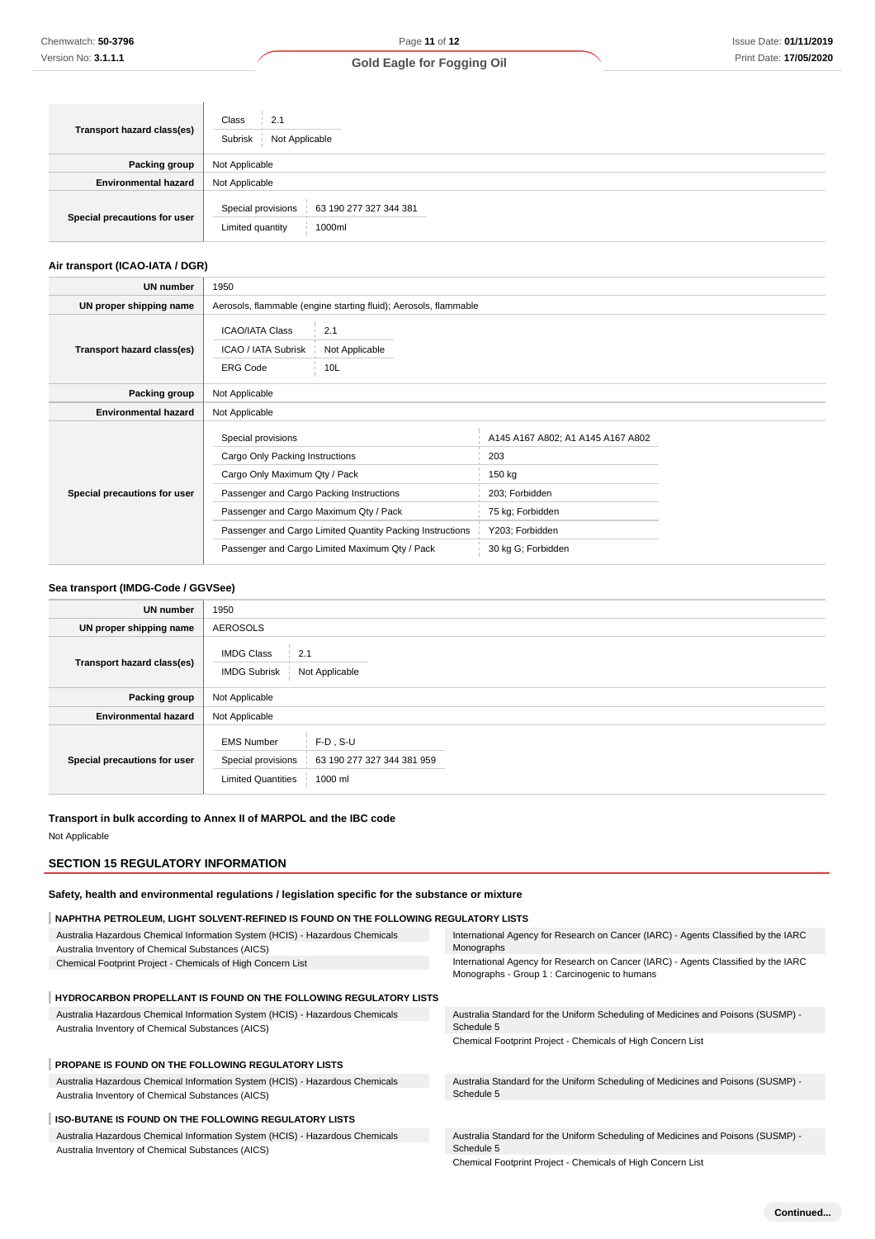| Transport hazard class(es)   | Class<br>2.1<br>Subrisk<br>Not Applicable                                  |  |  |
|------------------------------|----------------------------------------------------------------------------|--|--|
| <b>Packing group</b>         | Not Applicable                                                             |  |  |
| <b>Environmental hazard</b>  | Not Applicable                                                             |  |  |
| Special precautions for user | Special provisions<br>63 190 277 327 344 381<br>Limited quantity<br>1000ml |  |  |

### **Air transport (ICAO-IATA / DGR)**

| UN number                    | 1950                                                                                                                                                                         |                                                                                                             |                                                                                                                                   |  |  |
|------------------------------|------------------------------------------------------------------------------------------------------------------------------------------------------------------------------|-------------------------------------------------------------------------------------------------------------|-----------------------------------------------------------------------------------------------------------------------------------|--|--|
| UN proper shipping name      | Aerosols, flammable (engine starting fluid); Aerosols, flammable                                                                                                             |                                                                                                             |                                                                                                                                   |  |  |
| Transport hazard class(es)   | 2.1<br><b>ICAO/IATA Class</b><br>ICAO / IATA Subrisk<br>Not Applicable<br><b>ERG Code</b><br>10L                                                                             |                                                                                                             |                                                                                                                                   |  |  |
| Packing group                | Not Applicable                                                                                                                                                               |                                                                                                             |                                                                                                                                   |  |  |
| <b>Environmental hazard</b>  | Not Applicable                                                                                                                                                               |                                                                                                             |                                                                                                                                   |  |  |
| Special precautions for user | Special provisions<br>Cargo Only Packing Instructions<br>Cargo Only Maximum Qty / Pack<br>Passenger and Cargo Packing Instructions<br>Passenger and Cargo Maximum Qty / Pack | Passenger and Cargo Limited Quantity Packing Instructions<br>Passenger and Cargo Limited Maximum Qty / Pack | A145 A167 A802; A1 A145 A167 A802<br>203<br>150 kg<br>203; Forbidden<br>75 kg; Forbidden<br>Y203; Forbidden<br>30 kg G; Forbidden |  |  |

### **Sea transport (IMDG-Code / GGVSee)**

| <b>UN number</b>             | 1950                                                                                                                         |  |  |
|------------------------------|------------------------------------------------------------------------------------------------------------------------------|--|--|
| UN proper shipping name      | <b>AEROSOLS</b>                                                                                                              |  |  |
| Transport hazard class(es)   | <b>IMDG Class</b><br>2.1<br>Not Applicable<br><b>IMDG Subrisk</b>                                                            |  |  |
| Packing group                | Not Applicable                                                                                                               |  |  |
| <b>Environmental hazard</b>  | Not Applicable                                                                                                               |  |  |
| Special precautions for user | <b>EMS Number</b><br>$F-D$ . S-U<br>63 190 277 327 344 381 959<br>Special provisions<br><b>Limited Quantities</b><br>1000 ml |  |  |

#### **Transport in bulk according to Annex II of MARPOL and the IBC code**

Not Applicable

#### **SECTION 15 REGULATORY INFORMATION**

**Safety, health and environmental regulations / legislation specific for the substance or mixture**

### **NAPHTHA PETROLEUM, LIGHT SOLVENT-REFINED IS FOUND ON THE FOLLOWING REGULATORY LISTS**

| Australia Hazardous Chemical Information System (HCIS) - Hazardous Chemicals<br>Australia Inventory of Chemical Substances (AICS) | International Agency for Research on Cancer (IARC) - Agents Classified by the IARC<br>Monographs                                    |
|-----------------------------------------------------------------------------------------------------------------------------------|-------------------------------------------------------------------------------------------------------------------------------------|
| Chemical Footprint Project - Chemicals of High Concern List                                                                       | International Agency for Research on Cancer (IARC) - Agents Classified by the IARC<br>Monographs - Group 1 : Carcinogenic to humans |
| <b>HYDROCARBON PROPELLANT IS FOUND ON THE FOLLOWING REGULATORY LISTS</b>                                                          |                                                                                                                                     |
| Australia Hazardous Chemical Information System (HCIS) - Hazardous Chemicals<br>Australia Inventory of Chemical Substances (AICS) | Australia Standard for the Uniform Scheduling of Medicines and Poisons (SUSMP) -<br>Schedule 5                                      |
|                                                                                                                                   | Chemical Footprint Project - Chemicals of High Concern List                                                                         |
| <b>PROPANE IS FOUND ON THE FOLLOWING REGULATORY LISTS</b>                                                                         |                                                                                                                                     |
| Australia Hazardous Chemical Information System (HCIS) - Hazardous Chemicals<br>Australia Inventory of Chemical Substances (AICS) | Australia Standard for the Uniform Scheduling of Medicines and Poisons (SUSMP) -<br>Schedule 5                                      |
| <b>ISO-BUTANE IS FOUND ON THE FOLLOWING REGULATORY LISTS</b>                                                                      |                                                                                                                                     |
| Australia Hazardous Chemical Information System (HCIS) - Hazardous Chemicals                                                      | Australia Standard for the Uniform Scheduling of Medicines and Poisons (SUSMP) -                                                    |
| Australia Inventory of Chemical Substances (AICS)                                                                                 | Schedule 5<br>Obenical Fastadot Decisat - Obenicals af High Oscarsos Hist                                                           |

Chemical Footprint Project - Chemicals of High Concern List